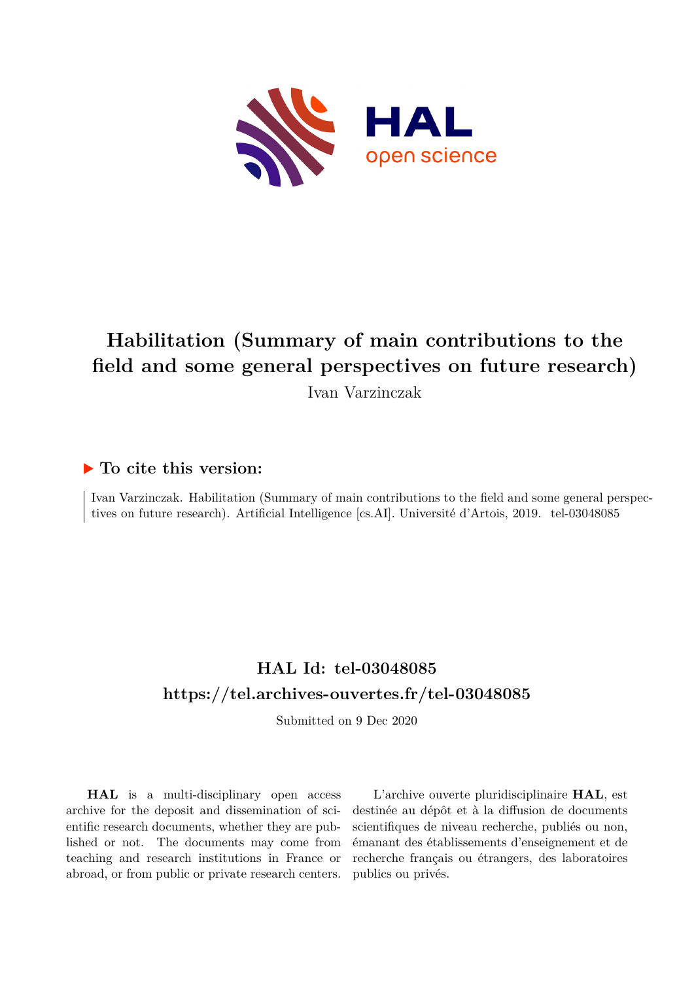

### **Habilitation (Summary of main contributions to the field and some general perspectives on future research)** Ivan Varzinczak

#### **To cite this version:**

Ivan Varzinczak. Habilitation (Summary of main contributions to the field and some general perspectives on future research). Artificial Intelligence [cs.AI]. Université d'Artois, 2019. tel-03048085

### **HAL Id: tel-03048085 <https://tel.archives-ouvertes.fr/tel-03048085>**

Submitted on 9 Dec 2020

**HAL** is a multi-disciplinary open access archive for the deposit and dissemination of scientific research documents, whether they are published or not. The documents may come from teaching and research institutions in France or abroad, or from public or private research centers.

L'archive ouverte pluridisciplinaire **HAL**, est destinée au dépôt et à la diffusion de documents scientifiques de niveau recherche, publiés ou non, émanant des établissements d'enseignement et de recherche français ou étrangers, des laboratoires publics ou privés.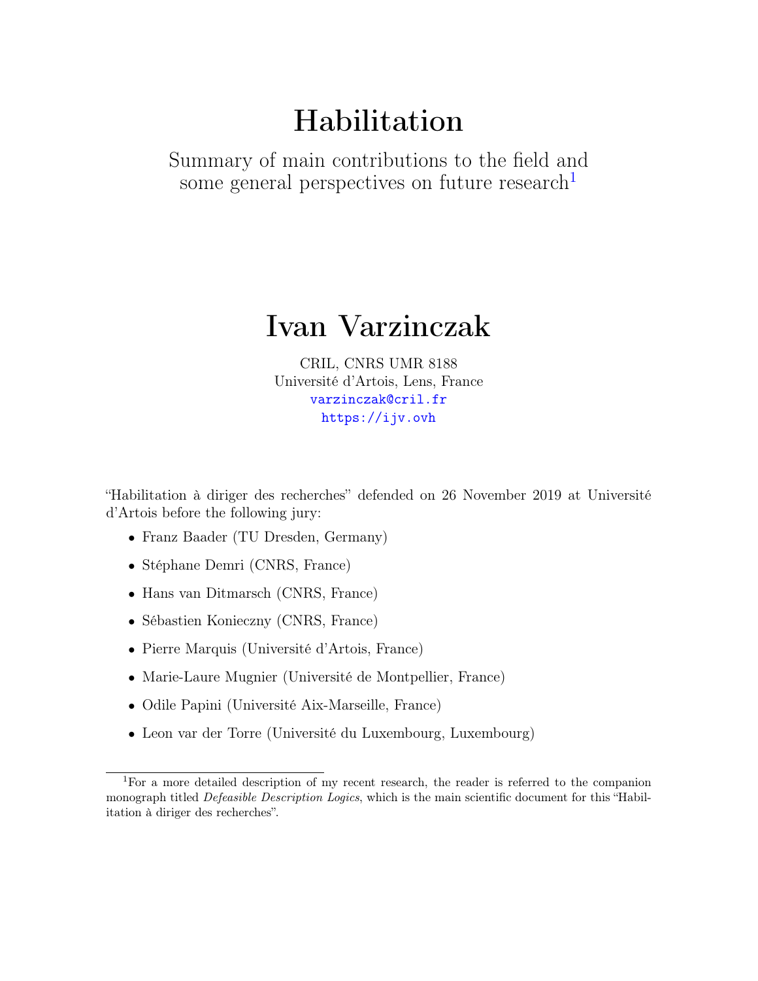# Habilitation

Summary of main contributions to the field and some general perspectives on future research<sup>1</sup>

### Ivan Varzinczak

CRIL, CNRS UMR 8188 Université d'Artois, Lens, France <varzinczak@cril.fr> <https://ijv.ovh>

"Habilitation à diriger des recherches" defended on 26 November 2019 at Université d'Artois before the following jury:

- Franz Baader (TU Dresden, Germany)
- Stéphane Demri (CNRS, France)
- Hans van Ditmarsch (CNRS, France)
- Sébastien Konieczny (CNRS, France)
- Pierre Marquis (Université d'Artois, France)
- Marie-Laure Mugnier (Université de Montpellier, France)
- Odile Papini (Université Aix-Marseille, France)
- Leon var der Torre (Université du Luxembourg, Luxembourg)

<sup>1</sup>For a more detailed description of my recent research, the reader is referred to the companion monograph titled *Defeasible Description Logics*, which is the main scientific document for this "Habilitation à diriger des recherches".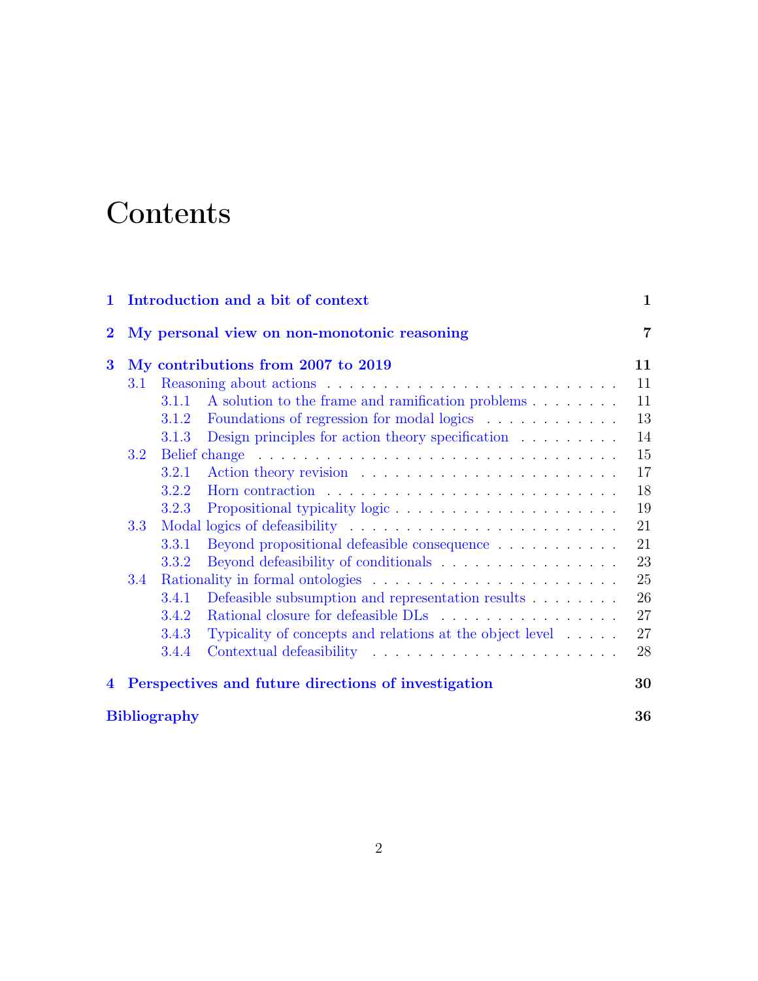# **Contents**

| $\mathbf{1}$   | Introduction and a bit of context                   |       |                                                                              | 1  |
|----------------|-----------------------------------------------------|-------|------------------------------------------------------------------------------|----|
| $\bf{2}$       | My personal view on non-monotonic reasoning         |       | $\overline{7}$                                                               |    |
| 3              | My contributions from 2007 to 2019                  |       |                                                                              | 11 |
|                | 3.1                                                 |       |                                                                              | 11 |
|                |                                                     | 3.1.1 | A solution to the frame and ramification problems                            | 11 |
|                |                                                     | 3.1.2 | Foundations of regression for modal logics                                   | 13 |
|                |                                                     | 3.1.3 | Design principles for action theory specification                            | 14 |
|                | 3.2                                                 |       |                                                                              | 15 |
|                |                                                     | 3.2.1 |                                                                              | 17 |
|                |                                                     | 3.2.2 |                                                                              | 18 |
|                |                                                     | 3.2.3 |                                                                              | 19 |
|                | 3.3                                                 |       |                                                                              | 21 |
|                |                                                     | 3.3.1 | Beyond propositional defeasible consequence                                  | 21 |
|                |                                                     | 3.3.2 |                                                                              | 23 |
|                | 3.4                                                 |       |                                                                              |    |
|                |                                                     | 3.4.1 | Defeasible subsumption and representation results $\hfill\ldots\ldots\ldots$ | 26 |
|                |                                                     | 3.4.2 |                                                                              | 27 |
|                |                                                     | 3.4.3 | Typicality of concepts and relations at the object level                     | 27 |
|                |                                                     | 3.4.4 |                                                                              | 28 |
| $\overline{4}$ | Perspectives and future directions of investigation |       |                                                                              | 30 |
|                | <b>Bibliography</b>                                 |       |                                                                              |    |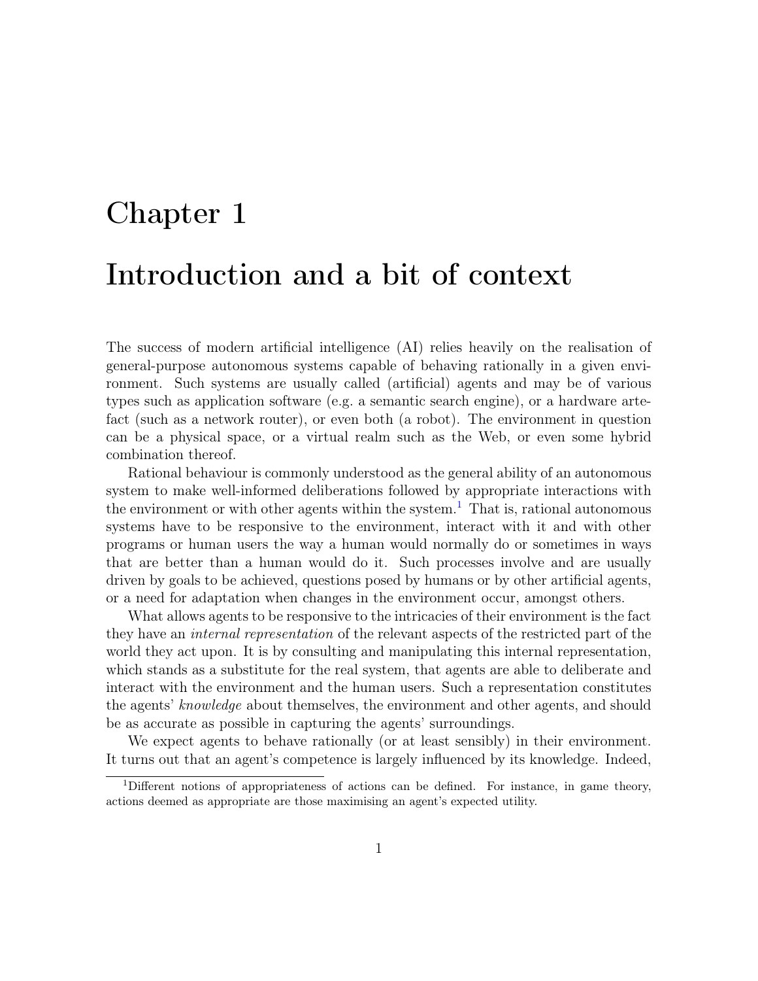# Chapter 1 Introduction and a bit of context

The success of modern artificial intelligence (AI) relies heavily on the realisation of general-purpose autonomous systems capable of behaving rationally in a given environment. Such systems are usually called (artificial) agents and may be of various types such as application software (e.g. a semantic search engine), or a hardware artefact (such as a network router), or even both (a robot). The environment in question can be a physical space, or a virtual realm such as the Web, or even some hybrid combination thereof.

Rational behaviour is commonly understood as the general ability of an autonomous system to make well-informed deliberations followed by appropriate interactions with the environment or with other agents within the system.<sup>1</sup> That is, rational autonomous systems have to be responsive to the environment, interact with it and with other programs or human users the way a human would normally do or sometimes in ways that are better than a human would do it. Such processes involve and are usually driven by goals to be achieved, questions posed by humans or by other artificial agents, or a need for adaptation when changes in the environment occur, amongst others.

What allows agents to be responsive to the intricacies of their environment is the fact they have an internal representation of the relevant aspects of the restricted part of the world they act upon. It is by consulting and manipulating this internal representation, which stands as a substitute for the real system, that agents are able to deliberate and interact with the environment and the human users. Such a representation constitutes the agents' knowledge about themselves, the environment and other agents, and should be as accurate as possible in capturing the agents' surroundings.

We expect agents to behave rationally (or at least sensibly) in their environment. It turns out that an agent's competence is largely influenced by its knowledge. Indeed,

<sup>1</sup>Different notions of appropriateness of actions can be defined. For instance, in game theory, actions deemed as appropriate are those maximising an agent's expected utility.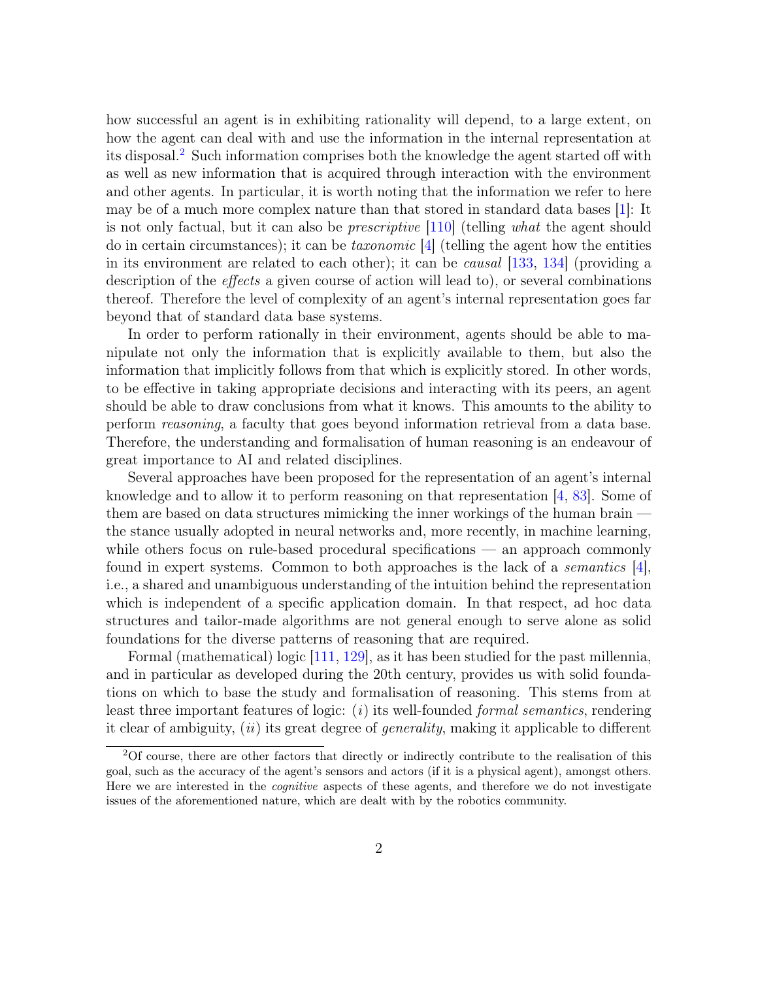how successful an agent is in exhibiting rationality will depend, to a large extent, on how the agent can deal with and use the information in the internal representation at its disposal.2 Such information comprises both the knowledge the agent started off with as well as new information that is acquired through interaction with the environment and other agents. In particular, it is worth noting that the information we refer to here may be of a much more complex nature than that stored in standard data bases [1]: It is not only factual, but it can also be prescriptive [110] (telling what the agent should do in certain circumstances); it can be *taxonomic*  $\boxed{4}$  (telling the agent how the entities in its environment are related to each other); it can be causal [133, 134] (providing a description of the effects a given course of action will lead to), or several combinations thereof. Therefore the level of complexity of an agent's internal representation goes far beyond that of standard data base systems.

In order to perform rationally in their environment, agents should be able to manipulate not only the information that is explicitly available to them, but also the information that implicitly follows from that which is explicitly stored. In other words, to be effective in taking appropriate decisions and interacting with its peers, an agent should be able to draw conclusions from what it knows. This amounts to the ability to perform reasoning, a faculty that goes beyond information retrieval from a data base. Therefore, the understanding and formalisation of human reasoning is an endeavour of great importance to AI and related disciplines.

Several approaches have been proposed for the representation of an agent's internal knowledge and to allow it to perform reasoning on that representation [4, 83]. Some of them are based on data structures mimicking the inner workings of the human brain the stance usually adopted in neural networks and, more recently, in machine learning, while others focus on rule-based procedural specifications — an approach commonly found in expert systems. Common to both approaches is the lack of a *semantics*  $|4|$ , i.e., a shared and unambiguous understanding of the intuition behind the representation which is independent of a specific application domain. In that respect, ad hoc data structures and tailor-made algorithms are not general enough to serve alone as solid foundations for the diverse patterns of reasoning that are required.

Formal (mathematical) logic [111, 129], as it has been studied for the past millennia, and in particular as developed during the 20th century, provides us with solid foundations on which to base the study and formalisation of reasoning. This stems from at least three important features of logic:  $(i)$  its well-founded *formal semantics*, rendering it clear of ambiguity,  $(ii)$  its great degree of *generality*, making it applicable to different

<sup>2</sup>Of course, there are other factors that directly or indirectly contribute to the realisation of this goal, such as the accuracy of the agent's sensors and actors (if it is a physical agent), amongst others. Here we are interested in the *cognitive* aspects of these agents, and therefore we do not investigate issues of the aforementioned nature, which are dealt with by the robotics community.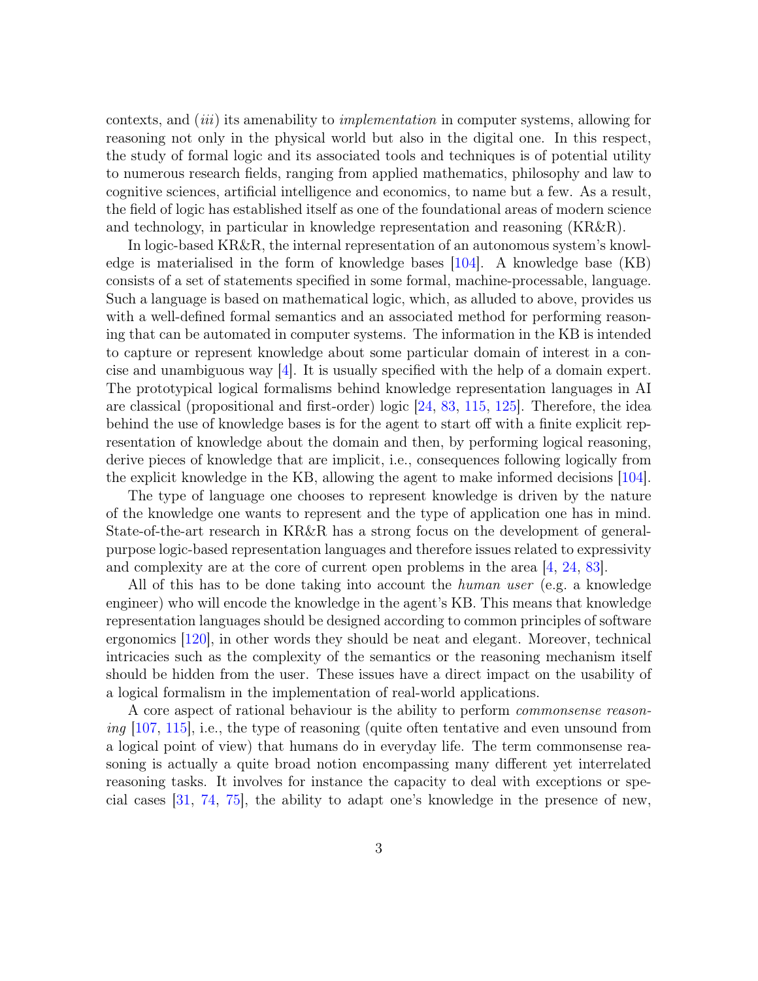contexts, and *(iii)* its amenability to *implementation* in computer systems, allowing for reasoning not only in the physical world but also in the digital one. In this respect, the study of formal logic and its associated tools and techniques is of potential utility to numerous research fields, ranging from applied mathematics, philosophy and law to cognitive sciences, artificial intelligence and economics, to name but a few. As a result, the field of logic has established itself as one of the foundational areas of modern science and technology, in particular in knowledge representation and reasoning (KR&R).

In logic-based KR&R, the internal representation of an autonomous system's knowledge is materialised in the form of knowledge bases  $[104]$ . A knowledge base  $(KB)$ consists of a set of statements specified in some formal, machine-processable, language. Such a language is based on mathematical logic, which, as alluded to above, provides us with a well-defined formal semantics and an associated method for performing reasoning that can be automated in computer systems. The information in the KB is intended to capture or represent knowledge about some particular domain of interest in a concise and unambiguous way  $[4]$ . It is usually specified with the help of a domain expert. The prototypical logical formalisms behind knowledge representation languages in AI are classical (propositional and first-order) logic [24, 83, 115, 125]. Therefore, the idea behind the use of knowledge bases is for the agent to start off with a finite explicit representation of knowledge about the domain and then, by performing logical reasoning, derive pieces of knowledge that are implicit, i.e., consequences following logically from the explicit knowledge in the KB, allowing the agent to make informed decisions [104].

The type of language one chooses to represent knowledge is driven by the nature of the knowledge one wants to represent and the type of application one has in mind. State-of-the-art research in KR&R has a strong focus on the development of generalpurpose logic-based representation languages and therefore issues related to expressivity and complexity are at the core of current open problems in the area [4, 24, 83].

All of this has to be done taking into account the *human user* (e.g. a knowledge engineer) who will encode the knowledge in the agent's KB. This means that knowledge representation languages should be designed according to common principles of software ergonomics [120], in other words they should be neat and elegant. Moreover, technical intricacies such as the complexity of the semantics or the reasoning mechanism itself should be hidden from the user. These issues have a direct impact on the usability of a logical formalism in the implementation of real-world applications.

A core aspect of rational behaviour is the ability to perform commonsense reasoning  $[107, 115]$ , i.e., the type of reasoning (quite often tentative and even unsound from a logical point of view) that humans do in everyday life. The term commonsense reasoning is actually a quite broad notion encompassing many different yet interrelated reasoning tasks. It involves for instance the capacity to deal with exceptions or special cases [31, 74, 75], the ability to adapt one's knowledge in the presence of new,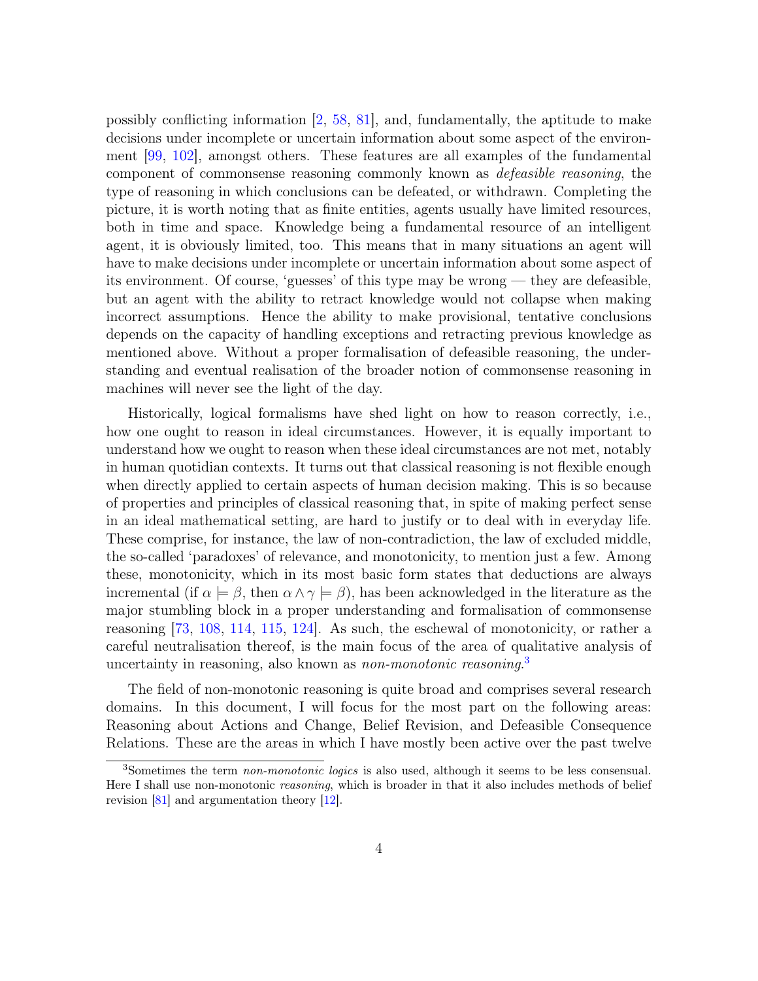possibly conflicting information [2, 58, 81], and, fundamentally, the aptitude to make decisions under incomplete or uncertain information about some aspect of the environment [99, 102], amongst others. These features are all examples of the fundamental component of commonsense reasoning commonly known as defeasible reasoning, the type of reasoning in which conclusions can be defeated, or withdrawn. Completing the picture, it is worth noting that as finite entities, agents usually have limited resources, both in time and space. Knowledge being a fundamental resource of an intelligent agent, it is obviously limited, too. This means that in many situations an agent will have to make decisions under incomplete or uncertain information about some aspect of its environment. Of course, 'guesses' of this type may be wrong — they are defeasible, but an agent with the ability to retract knowledge would not collapse when making incorrect assumptions. Hence the ability to make provisional, tentative conclusions depends on the capacity of handling exceptions and retracting previous knowledge as mentioned above. Without a proper formalisation of defeasible reasoning, the understanding and eventual realisation of the broader notion of commonsense reasoning in machines will never see the light of the day.

Historically, logical formalisms have shed light on how to reason correctly, i.e., how one ought to reason in ideal circumstances. However, it is equally important to understand how we ought to reason when these ideal circumstances are not met, notably in human quotidian contexts. It turns out that classical reasoning is not flexible enough when directly applied to certain aspects of human decision making. This is so because of properties and principles of classical reasoning that, in spite of making perfect sense in an ideal mathematical setting, are hard to justify or to deal with in everyday life. These comprise, for instance, the law of non-contradiction, the law of excluded middle, the so-called 'paradoxes' of relevance, and monotonicity, to mention just a few. Among these, monotonicity, which in its most basic form states that deductions are always incremental (if  $\alpha \models \beta$ , then  $\alpha \land \gamma \models \beta$ ), has been acknowledged in the literature as the major stumbling block in a proper understanding and formalisation of commonsense reasoning [73, 108, 114, 115, 124]. As such, the eschewal of monotonicity, or rather a careful neutralisation thereof, is the main focus of the area of qualitative analysis of uncertainty in reasoning, also known as *non-monotonic reasoning*.<sup>3</sup>

The field of non-monotonic reasoning is quite broad and comprises several research domains. In this document, I will focus for the most part on the following areas: Reasoning about Actions and Change, Belief Revision, and Defeasible Consequence Relations. These are the areas in which I have mostly been active over the past twelve

<sup>&</sup>lt;sup>3</sup>Sometimes the term *non-monotonic logics* is also used, although it seems to be less consensual. Here I shall use non-monotonic *reasoning*, which is broader in that it also includes methods of belief revision [81] and argumentation theory [12].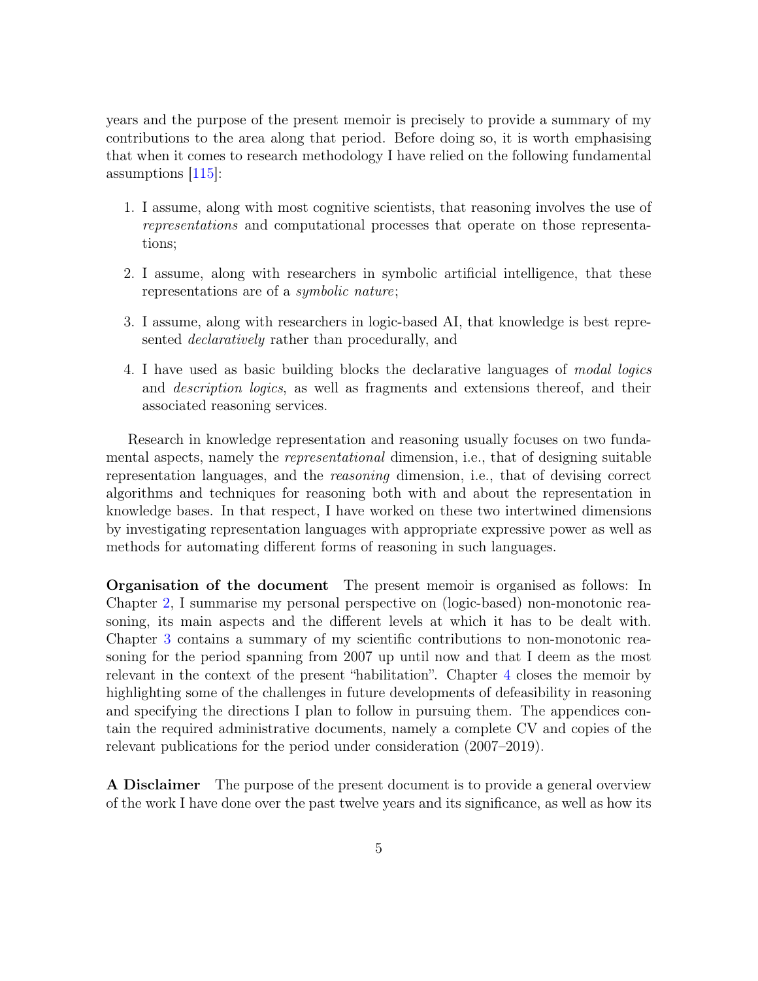years and the purpose of the present memoir is precisely to provide a summary of my contributions to the area along that period. Before doing so, it is worth emphasising that when it comes to research methodology I have relied on the following fundamental assumptions [115]:

- 1. I assume, along with most cognitive scientists, that reasoning involves the use of representations and computational processes that operate on those representations;
- 2. I assume, along with researchers in symbolic artificial intelligence, that these representations are of a symbolic nature;
- 3. I assume, along with researchers in logic-based AI, that knowledge is best represented declaratively rather than procedurally, and
- 4. I have used as basic building blocks the declarative languages of modal logics and description logics, as well as fragments and extensions thereof, and their associated reasoning services.

Research in knowledge representation and reasoning usually focuses on two fundamental aspects, namely the *representational* dimension, i.e., that of designing suitable representation languages, and the reasoning dimension, i.e., that of devising correct algorithms and techniques for reasoning both with and about the representation in knowledge bases. In that respect, I have worked on these two intertwined dimensions by investigating representation languages with appropriate expressive power as well as methods for automating different forms of reasoning in such languages.

Organisation of the document The present memoir is organised as follows: In Chapter 2, I summarise my personal perspective on (logic-based) non-monotonic reasoning, its main aspects and the different levels at which it has to be dealt with. Chapter 3 contains a summary of my scientific contributions to non-monotonic reasoning for the period spanning from 2007 up until now and that I deem as the most relevant in the context of the present "habilitation". Chapter 4 closes the memoir by highlighting some of the challenges in future developments of defeasibility in reasoning and specifying the directions I plan to follow in pursuing them. The appendices contain the required administrative documents, namely a complete CV and copies of the relevant publications for the period under consideration (2007–2019).

A Disclaimer The purpose of the present document is to provide a general overview of the work I have done over the past twelve years and its significance, as well as how its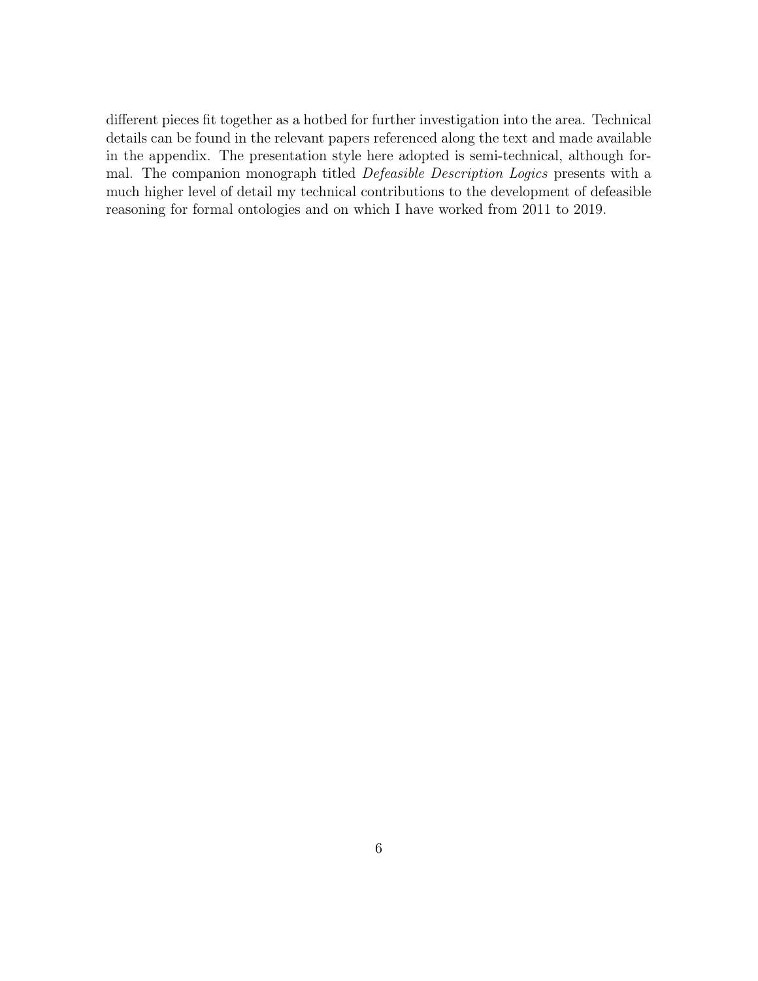different pieces fit together as a hotbed for further investigation into the area. Technical details can be found in the relevant papers referenced along the text and made available in the appendix. The presentation style here adopted is semi-technical, although formal. The companion monograph titled Defeasible Description Logics presents with a much higher level of detail my technical contributions to the development of defeasible reasoning for formal ontologies and on which I have worked from 2011 to 2019.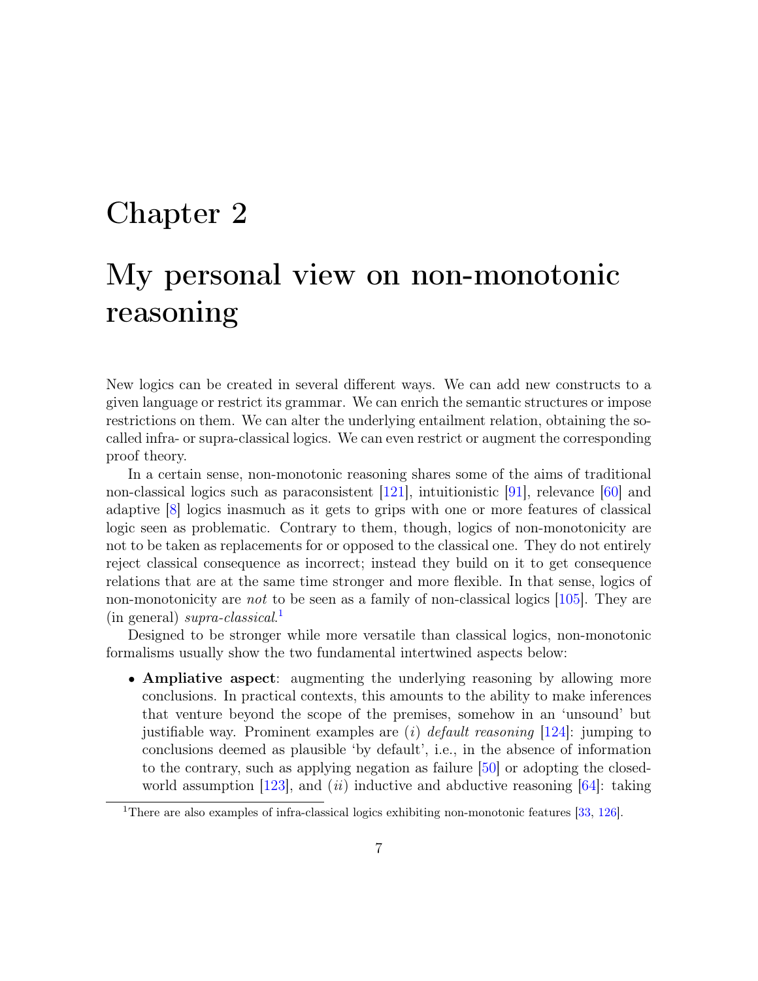## Chapter 2

# My personal view on non-monotonic reasoning

New logics can be created in several different ways. We can add new constructs to a given language or restrict its grammar. We can enrich the semantic structures or impose restrictions on them. We can alter the underlying entailment relation, obtaining the socalled infra- or supra-classical logics. We can even restrict or augment the corresponding proof theory.

In a certain sense, non-monotonic reasoning shares some of the aims of traditional non-classical logics such as paraconsistent [121], intuitionistic [91], relevance [60] and adaptive [8] logics inasmuch as it gets to grips with one or more features of classical logic seen as problematic. Contrary to them, though, logics of non-monotonicity are not to be taken as replacements for or opposed to the classical one. They do not entirely reject classical consequence as incorrect; instead they build on it to get consequence relations that are at the same time stronger and more flexible. In that sense, logics of non-monotonicity are *not* to be seen as a family of non-classical logics [105]. They are (in general) supra-classical. 1

Designed to be stronger while more versatile than classical logics, non-monotonic formalisms usually show the two fundamental intertwined aspects below:

• Ampliative aspect: augmenting the underlying reasoning by allowing more conclusions. In practical contexts, this amounts to the ability to make inferences that venture beyond the scope of the premises, somehow in an 'unsound' but justifiable way. Prominent examples are  $(i)$  default reasoning [124]: jumping to conclusions deemed as plausible 'by default', i.e., in the absence of information to the contrary, such as applying negation as failure [50] or adopting the closedworld assumption [123], and (ii) inductive and abductive reasoning [64]: taking

<sup>&</sup>lt;sup>1</sup>There are also examples of infra-classical logics exhibiting non-monotonic features [33, 126].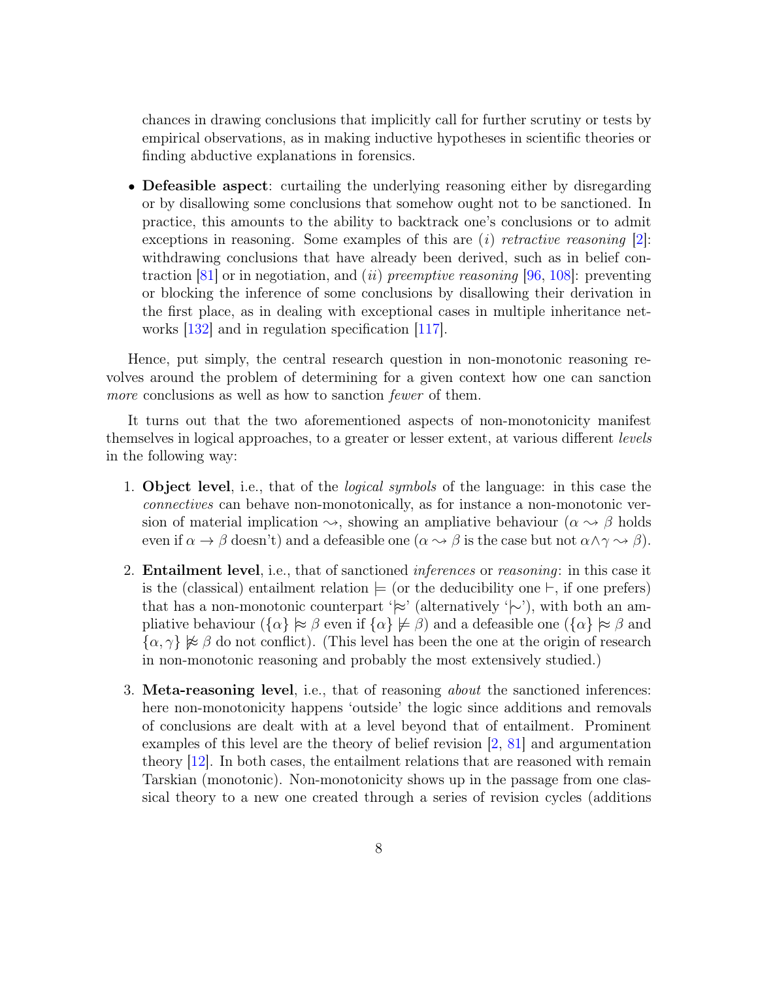chances in drawing conclusions that implicitly call for further scrutiny or tests by empirical observations, as in making inductive hypotheses in scientific theories or finding abductive explanations in forensics.

• Defeasible aspect: curtailing the underlying reasoning either by disregarding or by disallowing some conclusions that somehow ought not to be sanctioned. In practice, this amounts to the ability to backtrack one's conclusions or to admit exceptions in reasoning. Some examples of this are  $(i)$  retractive reasoning [2]: withdrawing conclusions that have already been derived, such as in belief contraction  $|81|$  or in negotiation, and *(ii) preemptive reasoning*  $|96, 108|$ : preventing or blocking the inference of some conclusions by disallowing their derivation in the first place, as in dealing with exceptional cases in multiple inheritance networks [132] and in regulation specification [117].

Hence, put simply, the central research question in non-monotonic reasoning revolves around the problem of determining for a given context how one can sanction more conclusions as well as how to sanction *fewer* of them.

It turns out that the two aforementioned aspects of non-monotonicity manifest themselves in logical approaches, to a greater or lesser extent, at various different levels in the following way:

- 1. Object level, i.e., that of the logical symbols of the language: in this case the connectives can behave non-monotonically, as for instance a non-monotonic version of material implication  $\rightsquigarrow$ , showing an ampliative behaviour ( $\alpha \rightsquigarrow \beta$  holds even if  $\alpha \to \beta$  doesn't) and a defeasible one  $(\alpha \leadsto \beta$  is the case but not  $\alpha \land \gamma \leadsto \beta$ .
- 2. **Entailment level,** i.e., that of sanctioned *inferences* or *reasoning*: in this case it is the (classical) entailment relation  $\models$  (or the deducibility one  $\vdash$ , if one prefers) that has a non-monotonic counterpart ' $\approx$ ' (alternatively ' $\sim$ '), with both an ampliative behaviour  $({\{\alpha\}} \approx \beta$  even if  ${\{\alpha\}} \not\models \beta$ ) and a defeasible one  $({\{\alpha\}} \approx \beta$  and  $\{\alpha, \gamma\} \not\approx \beta$  do not conflict). (This level has been the one at the origin of research in non-monotonic reasoning and probably the most extensively studied.)
- 3. Meta-reasoning level, i.e., that of reasoning about the sanctioned inferences: here non-monotonicity happens 'outside' the logic since additions and removals of conclusions are dealt with at a level beyond that of entailment. Prominent examples of this level are the theory of belief revision [2, 81] and argumentation theory [12]. In both cases, the entailment relations that are reasoned with remain Tarskian (monotonic). Non-monotonicity shows up in the passage from one classical theory to a new one created through a series of revision cycles (additions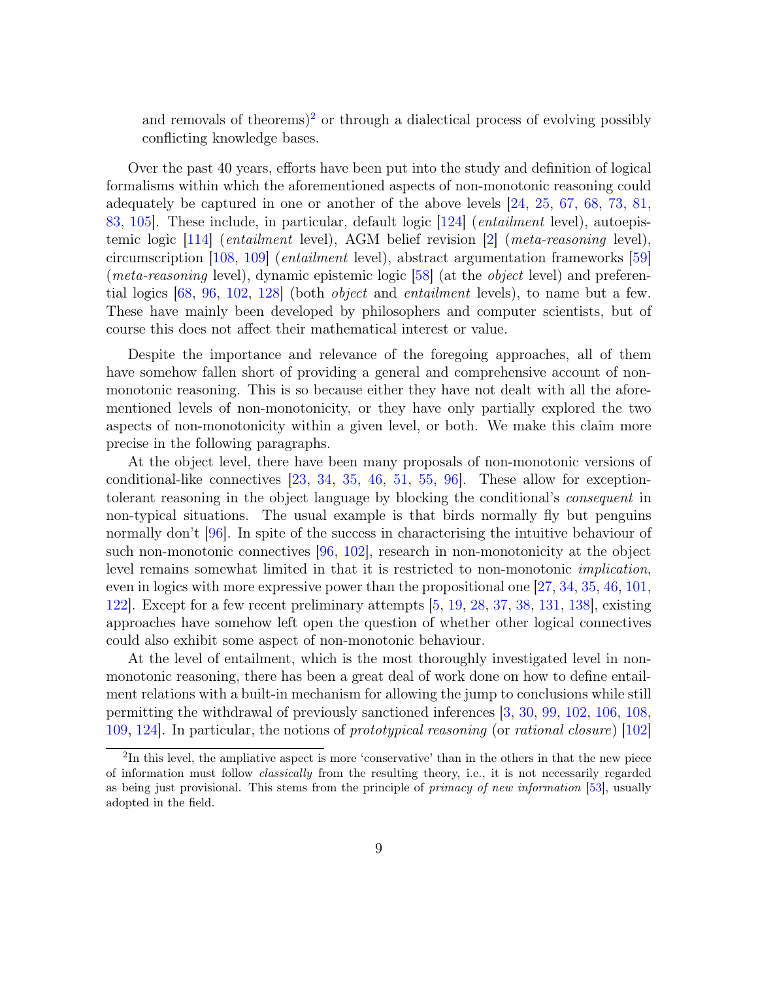and removals of theorems)<sup>2</sup> or through a dialectical process of evolving possibly conflicting knowledge bases.

Over the past 40 years, efforts have been put into the study and definition of logical formalisms within which the aforementioned aspects of non-monotonic reasoning could adequately be captured in one or another of the above levels [24, 25, 67, 68, 73, 81, 83, 105]. These include, in particular, default logic [124] (entailment level), autoepistemic logic [114] (entailment level), AGM belief revision [2] (meta-reasoning level), circumscription [108, 109] (entailment level), abstract argumentation frameworks [59] (*meta-reasoning* level), dynamic epistemic logic [58] (at the *object* level) and preferential logics  $[68, 96, 102, 128]$  (both *object* and *entailment* levels), to name but a few. These have mainly been developed by philosophers and computer scientists, but of course this does not affect their mathematical interest or value.

Despite the importance and relevance of the foregoing approaches, all of them have somehow fallen short of providing a general and comprehensive account of nonmonotonic reasoning. This is so because either they have not dealt with all the aforementioned levels of non-monotonicity, or they have only partially explored the two aspects of non-monotonicity within a given level, or both. We make this claim more precise in the following paragraphs.

At the object level, there have been many proposals of non-monotonic versions of conditional-like connectives [23, 34, 35, 46, 51, 55, 96]. These allow for exceptiontolerant reasoning in the object language by blocking the conditional's consequent in non-typical situations. The usual example is that birds normally fly but penguins normally don't [96]. In spite of the success in characterising the intuitive behaviour of such non-monotonic connectives [96, 102], research in non-monotonicity at the object level remains somewhat limited in that it is restricted to non-monotonic implication, even in logics with more expressive power than the propositional one [27, 34, 35, 46, 101, 122]. Except for a few recent preliminary attempts [5, 19, 28, 37, 38, 131, 138], existing approaches have somehow left open the question of whether other logical connectives could also exhibit some aspect of non-monotonic behaviour.

At the level of entailment, which is the most thoroughly investigated level in nonmonotonic reasoning, there has been a great deal of work done on how to define entailment relations with a built-in mechanism for allowing the jump to conclusions while still permitting the withdrawal of previously sanctioned inferences [3, 30, 99, 102, 106, 108, 109, 124]. In particular, the notions of prototypical reasoning (or rational closure) [102]

<sup>&</sup>lt;sup>2</sup>In this level, the ampliative aspect is more 'conservative' than in the others in that the new piece of information must follow classically from the resulting theory, i.e., it is not necessarily regarded as being just provisional. This stems from the principle of *primacy of new information* [53], usually adopted in the field.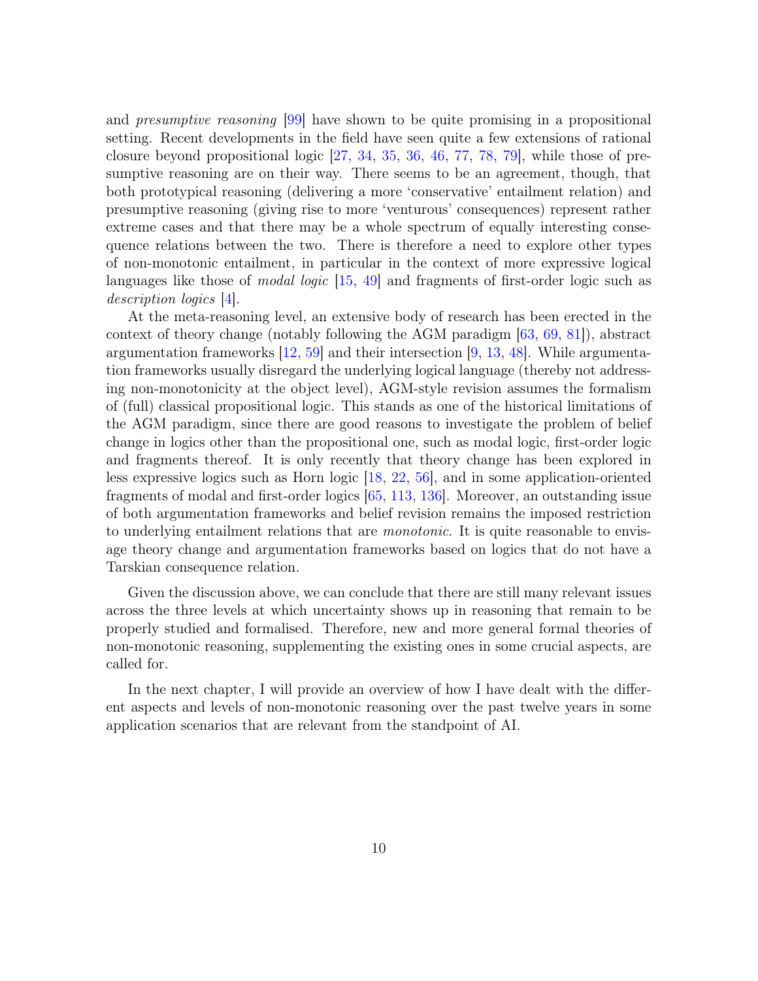and presumptive reasoning [99] have shown to be quite promising in a propositional setting. Recent developments in the field have seen quite a few extensions of rational closure beyond propositional logic [27, 34, 35, 36, 46, 77, 78, 79], while those of presumptive reasoning are on their way. There seems to be an agreement, though, that both prototypical reasoning (delivering a more 'conservative' entailment relation) and presumptive reasoning (giving rise to more 'venturous' consequences) represent rather extreme cases and that there may be a whole spectrum of equally interesting consequence relations between the two. There is therefore a need to explore other types of non-monotonic entailment, in particular in the context of more expressive logical languages like those of *modal logic*  $(15, 49)$  and fragments of first-order logic such as description logics [4].

At the meta-reasoning level, an extensive body of research has been erected in the context of theory change (notably following the AGM paradigm [63, 69, 81]), abstract argumentation frameworks [12, 59] and their intersection [9, 13, 48]. While argumentation frameworks usually disregard the underlying logical language (thereby not addressing non-monotonicity at the object level), AGM-style revision assumes the formalism of (full) classical propositional logic. This stands as one of the historical limitations of the AGM paradigm, since there are good reasons to investigate the problem of belief change in logics other than the propositional one, such as modal logic, first-order logic and fragments thereof. It is only recently that theory change has been explored in less expressive logics such as Horn logic [18, 22, 56], and in some application-oriented fragments of modal and first-order logics [65, 113, 136]. Moreover, an outstanding issue of both argumentation frameworks and belief revision remains the imposed restriction to underlying entailment relations that are *monotonic*. It is quite reasonable to envisage theory change and argumentation frameworks based on logics that do not have a Tarskian consequence relation.

Given the discussion above, we can conclude that there are still many relevant issues across the three levels at which uncertainty shows up in reasoning that remain to be properly studied and formalised. Therefore, new and more general formal theories of non-monotonic reasoning, supplementing the existing ones in some crucial aspects, are called for.

In the next chapter, I will provide an overview of how I have dealt with the different aspects and levels of non-monotonic reasoning over the past twelve years in some application scenarios that are relevant from the standpoint of AI.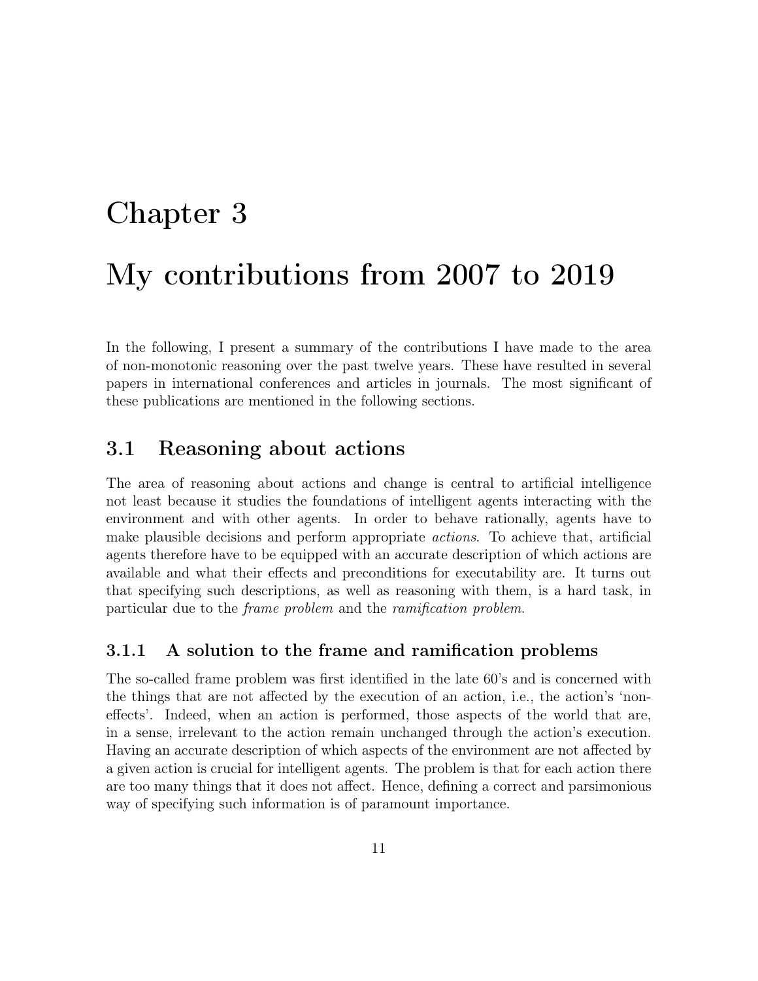# Chapter 3 My contributions from 2007 to 2019

In the following, I present a summary of the contributions I have made to the area of non-monotonic reasoning over the past twelve years. These have resulted in several papers in international conferences and articles in journals. The most significant of these publications are mentioned in the following sections.

### 3.1 Reasoning about actions

The area of reasoning about actions and change is central to artificial intelligence not least because it studies the foundations of intelligent agents interacting with the environment and with other agents. In order to behave rationally, agents have to make plausible decisions and perform appropriate *actions*. To achieve that, artificial agents therefore have to be equipped with an accurate description of which actions are available and what their effects and preconditions for executability are. It turns out that specifying such descriptions, as well as reasoning with them, is a hard task, in particular due to the frame problem and the ramification problem.

#### 3.1.1 A solution to the frame and ramification problems

The so-called frame problem was first identified in the late 60's and is concerned with the things that are not affected by the execution of an action, i.e., the action's 'noneffects'. Indeed, when an action is performed, those aspects of the world that are, in a sense, irrelevant to the action remain unchanged through the action's execution. Having an accurate description of which aspects of the environment are not affected by a given action is crucial for intelligent agents. The problem is that for each action there are too many things that it does not affect. Hence, defining a correct and parsimonious way of specifying such information is of paramount importance.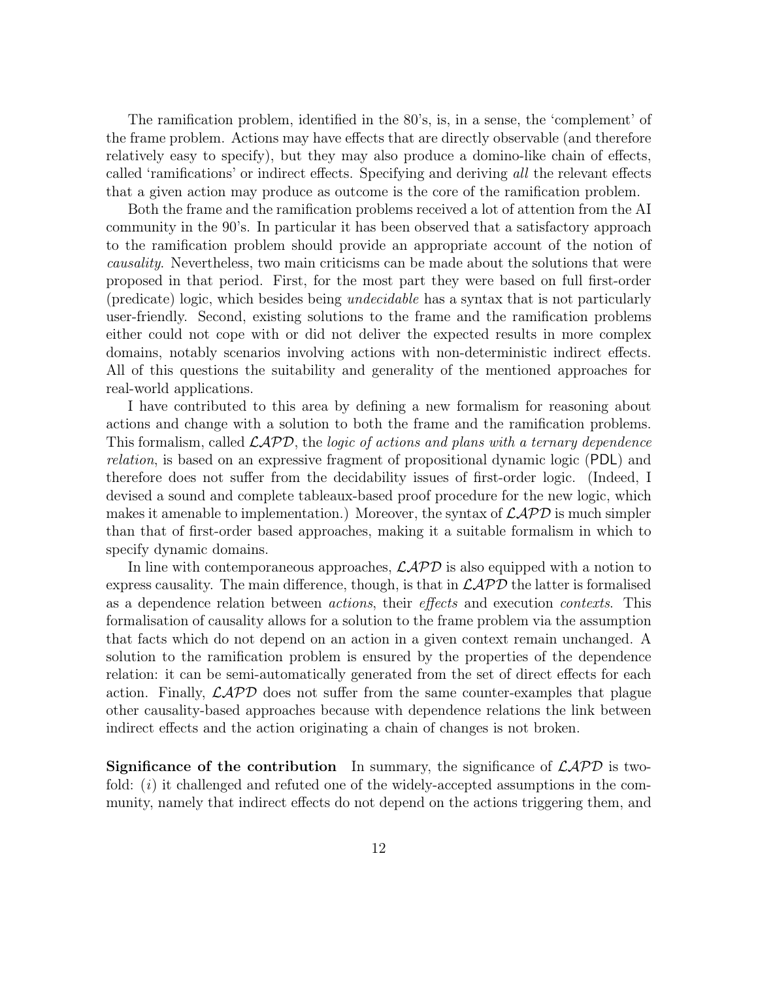The ramification problem, identified in the 80's, is, in a sense, the 'complement' of the frame problem. Actions may have effects that are directly observable (and therefore relatively easy to specify), but they may also produce a domino-like chain of effects, called 'ramifications' or indirect effects. Specifying and deriving all the relevant effects that a given action may produce as outcome is the core of the ramification problem.

Both the frame and the ramification problems received a lot of attention from the AI community in the 90's. In particular it has been observed that a satisfactory approach to the ramification problem should provide an appropriate account of the notion of causality. Nevertheless, two main criticisms can be made about the solutions that were proposed in that period. First, for the most part they were based on full first-order (predicate) logic, which besides being undecidable has a syntax that is not particularly user-friendly. Second, existing solutions to the frame and the ramification problems either could not cope with or did not deliver the expected results in more complex domains, notably scenarios involving actions with non-deterministic indirect effects. All of this questions the suitability and generality of the mentioned approaches for real-world applications.

I have contributed to this area by defining a new formalism for reasoning about actions and change with a solution to both the frame and the ramification problems. This formalism, called  $\mathcal{L}APD$ , the logic of actions and plans with a ternary dependence relation, is based on an expressive fragment of propositional dynamic logic (PDL) and therefore does not suffer from the decidability issues of first-order logic. (Indeed, I devised a sound and complete tableaux-based proof procedure for the new logic, which makes it amenable to implementation.) Moreover, the syntax of  $\mathcal{LAPD}$  is much simpler than that of first-order based approaches, making it a suitable formalism in which to specify dynamic domains.

In line with contemporaneous approaches,  $\mathcal{L}APD$  is also equipped with a notion to express causality. The main difference, though, is that in  $\mathcal{L}APD$  the latter is formalised as a dependence relation between actions, their effects and execution contexts. This formalisation of causality allows for a solution to the frame problem via the assumption that facts which do not depend on an action in a given context remain unchanged. A solution to the ramification problem is ensured by the properties of the dependence relation: it can be semi-automatically generated from the set of direct effects for each action. Finally,  $\mathcal{L}APD$  does not suffer from the same counter-examples that plague other causality-based approaches because with dependence relations the link between indirect effects and the action originating a chain of changes is not broken.

**Significance of the contribution** In summary, the significance of  $\mathcal{L}APD$  is twofold:  $(i)$  it challenged and refuted one of the widely-accepted assumptions in the community, namely that indirect effects do not depend on the actions triggering them, and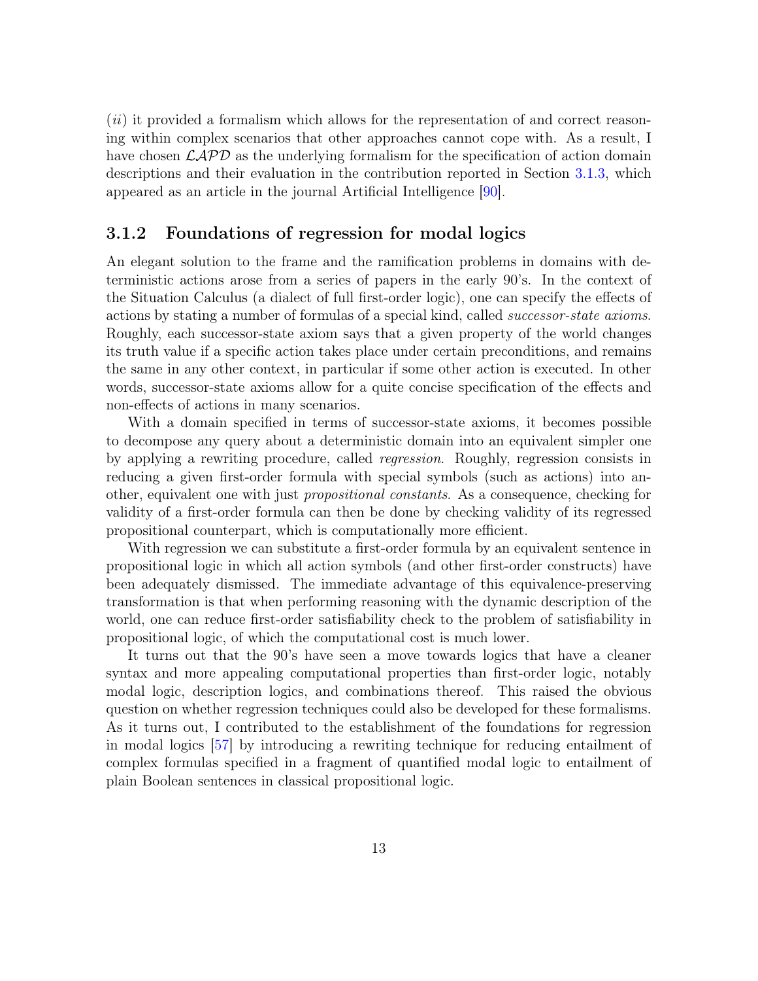$(ii)$  it provided a formalism which allows for the representation of and correct reasoning within complex scenarios that other approaches cannot cope with. As a result, I have chosen  $\mathcal{L} \mathcal{A} \mathcal{P} \mathcal{D}$  as the underlying formalism for the specification of action domain descriptions and their evaluation in the contribution reported in Section 3.1.3, which appeared as an article in the journal Artificial Intelligence [90].

#### 3.1.2 Foundations of regression for modal logics

An elegant solution to the frame and the ramification problems in domains with deterministic actions arose from a series of papers in the early 90's. In the context of the Situation Calculus (a dialect of full first-order logic), one can specify the effects of actions by stating a number of formulas of a special kind, called successor-state axioms. Roughly, each successor-state axiom says that a given property of the world changes its truth value if a specific action takes place under certain preconditions, and remains the same in any other context, in particular if some other action is executed. In other words, successor-state axioms allow for a quite concise specification of the effects and non-effects of actions in many scenarios.

With a domain specified in terms of successor-state axioms, it becomes possible to decompose any query about a deterministic domain into an equivalent simpler one by applying a rewriting procedure, called regression. Roughly, regression consists in reducing a given first-order formula with special symbols (such as actions) into another, equivalent one with just propositional constants. As a consequence, checking for validity of a first-order formula can then be done by checking validity of its regressed propositional counterpart, which is computationally more efficient.

With regression we can substitute a first-order formula by an equivalent sentence in propositional logic in which all action symbols (and other first-order constructs) have been adequately dismissed. The immediate advantage of this equivalence-preserving transformation is that when performing reasoning with the dynamic description of the world, one can reduce first-order satisfiability check to the problem of satisfiability in propositional logic, of which the computational cost is much lower.

It turns out that the 90's have seen a move towards logics that have a cleaner syntax and more appealing computational properties than first-order logic, notably modal logic, description logics, and combinations thereof. This raised the obvious question on whether regression techniques could also be developed for these formalisms. As it turns out, I contributed to the establishment of the foundations for regression in modal logics [57] by introducing a rewriting technique for reducing entailment of complex formulas specified in a fragment of quantified modal logic to entailment of plain Boolean sentences in classical propositional logic.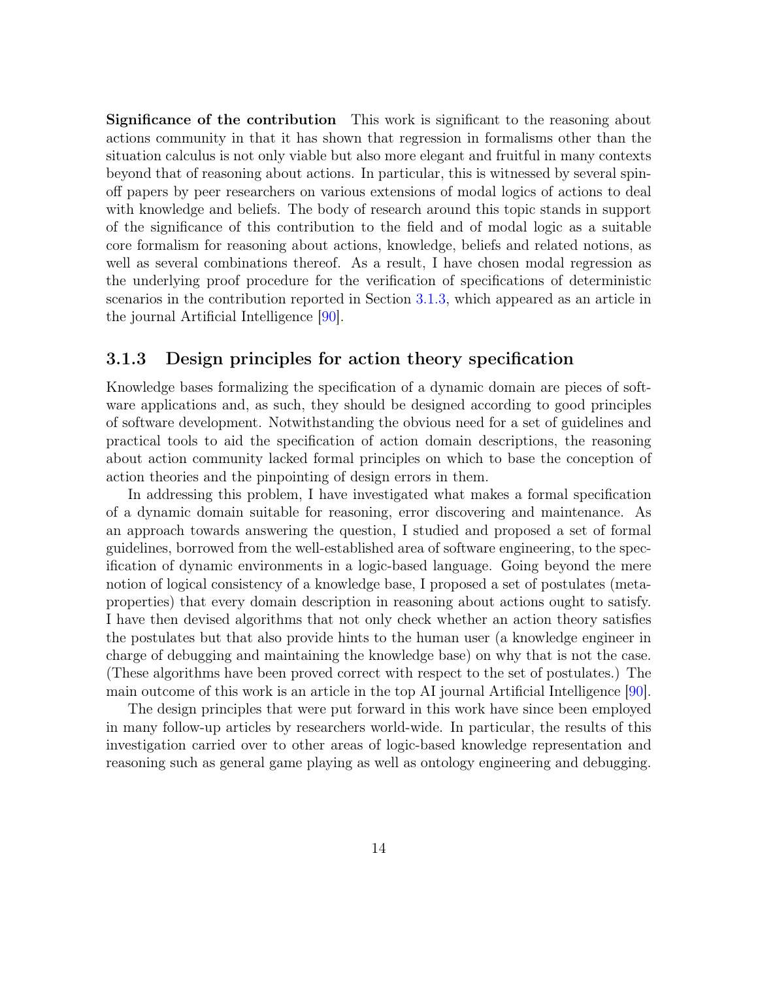Significance of the contribution This work is significant to the reasoning about actions community in that it has shown that regression in formalisms other than the situation calculus is not only viable but also more elegant and fruitful in many contexts beyond that of reasoning about actions. In particular, this is witnessed by several spinoff papers by peer researchers on various extensions of modal logics of actions to deal with knowledge and beliefs. The body of research around this topic stands in support of the significance of this contribution to the field and of modal logic as a suitable core formalism for reasoning about actions, knowledge, beliefs and related notions, as well as several combinations thereof. As a result, I have chosen modal regression as the underlying proof procedure for the verification of specifications of deterministic scenarios in the contribution reported in Section 3.1.3, which appeared as an article in the journal Artificial Intelligence [90].

#### 3.1.3 Design principles for action theory specification

Knowledge bases formalizing the specification of a dynamic domain are pieces of software applications and, as such, they should be designed according to good principles of software development. Notwithstanding the obvious need for a set of guidelines and practical tools to aid the specification of action domain descriptions, the reasoning about action community lacked formal principles on which to base the conception of action theories and the pinpointing of design errors in them.

In addressing this problem, I have investigated what makes a formal specification of a dynamic domain suitable for reasoning, error discovering and maintenance. As an approach towards answering the question, I studied and proposed a set of formal guidelines, borrowed from the well-established area of software engineering, to the specification of dynamic environments in a logic-based language. Going beyond the mere notion of logical consistency of a knowledge base, I proposed a set of postulates (metaproperties) that every domain description in reasoning about actions ought to satisfy. I have then devised algorithms that not only check whether an action theory satisfies the postulates but that also provide hints to the human user (a knowledge engineer in charge of debugging and maintaining the knowledge base) on why that is not the case. (These algorithms have been proved correct with respect to the set of postulates.) The main outcome of this work is an article in the top AI journal Artificial Intelligence [90].

The design principles that were put forward in this work have since been employed in many follow-up articles by researchers world-wide. In particular, the results of this investigation carried over to other areas of logic-based knowledge representation and reasoning such as general game playing as well as ontology engineering and debugging.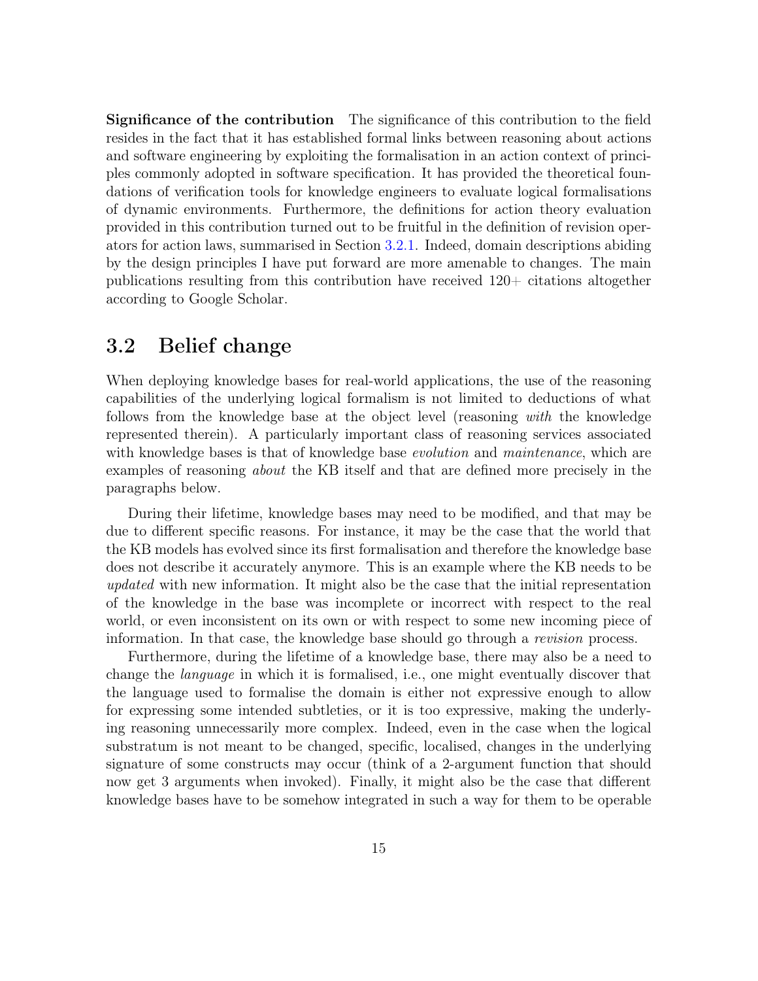Significance of the contribution The significance of this contribution to the field resides in the fact that it has established formal links between reasoning about actions and software engineering by exploiting the formalisation in an action context of principles commonly adopted in software specification. It has provided the theoretical foundations of verification tools for knowledge engineers to evaluate logical formalisations of dynamic environments. Furthermore, the definitions for action theory evaluation provided in this contribution turned out to be fruitful in the definition of revision operators for action laws, summarised in Section 3.2.1. Indeed, domain descriptions abiding by the design principles I have put forward are more amenable to changes. The main publications resulting from this contribution have received 120+ citations altogether according to Google Scholar.

### 3.2 Belief change

When deploying knowledge bases for real-world applications, the use of the reasoning capabilities of the underlying logical formalism is not limited to deductions of what follows from the knowledge base at the object level (reasoning with the knowledge represented therein). A particularly important class of reasoning services associated with knowledge bases is that of knowledge base *evolution* and *maintenance*, which are examples of reasoning about the KB itself and that are defined more precisely in the paragraphs below.

During their lifetime, knowledge bases may need to be modified, and that may be due to different specific reasons. For instance, it may be the case that the world that the KB models has evolved since its first formalisation and therefore the knowledge base does not describe it accurately anymore. This is an example where the KB needs to be updated with new information. It might also be the case that the initial representation of the knowledge in the base was incomplete or incorrect with respect to the real world, or even inconsistent on its own or with respect to some new incoming piece of information. In that case, the knowledge base should go through a *revision* process.

Furthermore, during the lifetime of a knowledge base, there may also be a need to change the language in which it is formalised, i.e., one might eventually discover that the language used to formalise the domain is either not expressive enough to allow for expressing some intended subtleties, or it is too expressive, making the underlying reasoning unnecessarily more complex. Indeed, even in the case when the logical substratum is not meant to be changed, specific, localised, changes in the underlying signature of some constructs may occur (think of a 2-argument function that should now get 3 arguments when invoked). Finally, it might also be the case that different knowledge bases have to be somehow integrated in such a way for them to be operable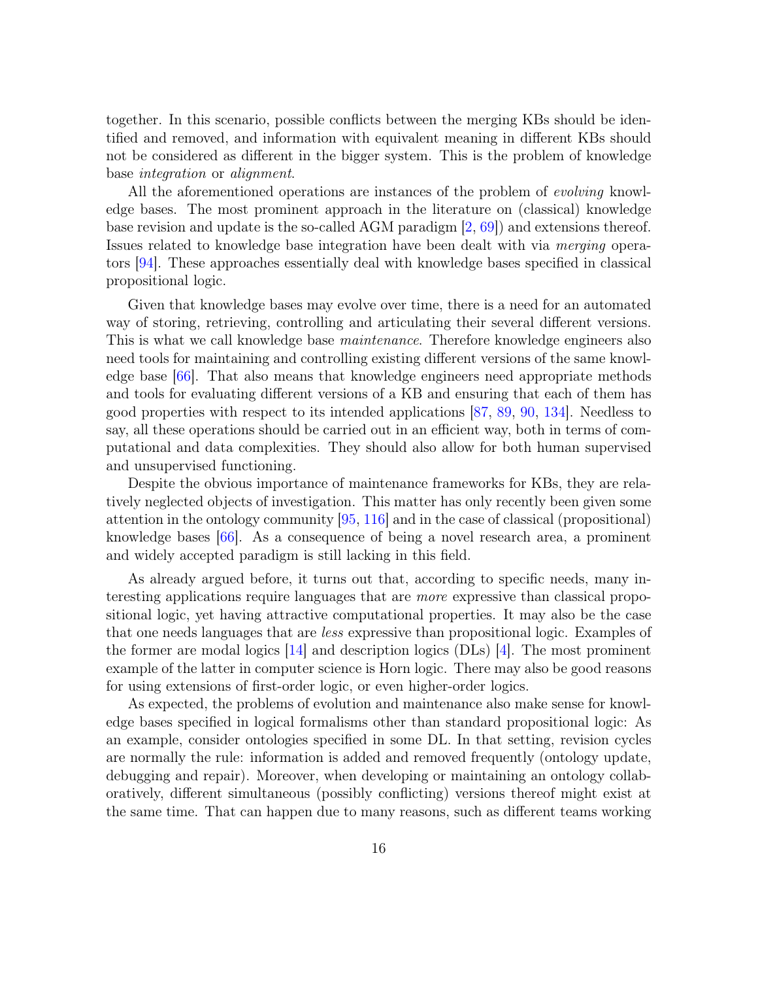together. In this scenario, possible conflicts between the merging KBs should be identified and removed, and information with equivalent meaning in different KBs should not be considered as different in the bigger system. This is the problem of knowledge base integration or alignment.

All the aforementioned operations are instances of the problem of evolving knowledge bases. The most prominent approach in the literature on (classical) knowledge base revision and update is the so-called AGM paradigm [2, 69]) and extensions thereof. Issues related to knowledge base integration have been dealt with via merging operators [94]. These approaches essentially deal with knowledge bases specified in classical propositional logic.

Given that knowledge bases may evolve over time, there is a need for an automated way of storing, retrieving, controlling and articulating their several different versions. This is what we call knowledge base *maintenance*. Therefore knowledge engineers also need tools for maintaining and controlling existing different versions of the same knowledge base [66]. That also means that knowledge engineers need appropriate methods and tools for evaluating different versions of a KB and ensuring that each of them has good properties with respect to its intended applications [87, 89, 90, 134]. Needless to say, all these operations should be carried out in an efficient way, both in terms of computational and data complexities. They should also allow for both human supervised and unsupervised functioning.

Despite the obvious importance of maintenance frameworks for KBs, they are relatively neglected objects of investigation. This matter has only recently been given some attention in the ontology community [95, 116] and in the case of classical (propositional) knowledge bases [66]. As a consequence of being a novel research area, a prominent and widely accepted paradigm is still lacking in this field.

As already argued before, it turns out that, according to specific needs, many interesting applications require languages that are more expressive than classical propositional logic, yet having attractive computational properties. It may also be the case that one needs languages that are less expressive than propositional logic. Examples of the former are modal logics [14] and description logics (DLs) [4]. The most prominent example of the latter in computer science is Horn logic. There may also be good reasons for using extensions of first-order logic, or even higher-order logics.

As expected, the problems of evolution and maintenance also make sense for knowledge bases specified in logical formalisms other than standard propositional logic: As an example, consider ontologies specified in some DL. In that setting, revision cycles are normally the rule: information is added and removed frequently (ontology update, debugging and repair). Moreover, when developing or maintaining an ontology collaboratively, different simultaneous (possibly conflicting) versions thereof might exist at the same time. That can happen due to many reasons, such as different teams working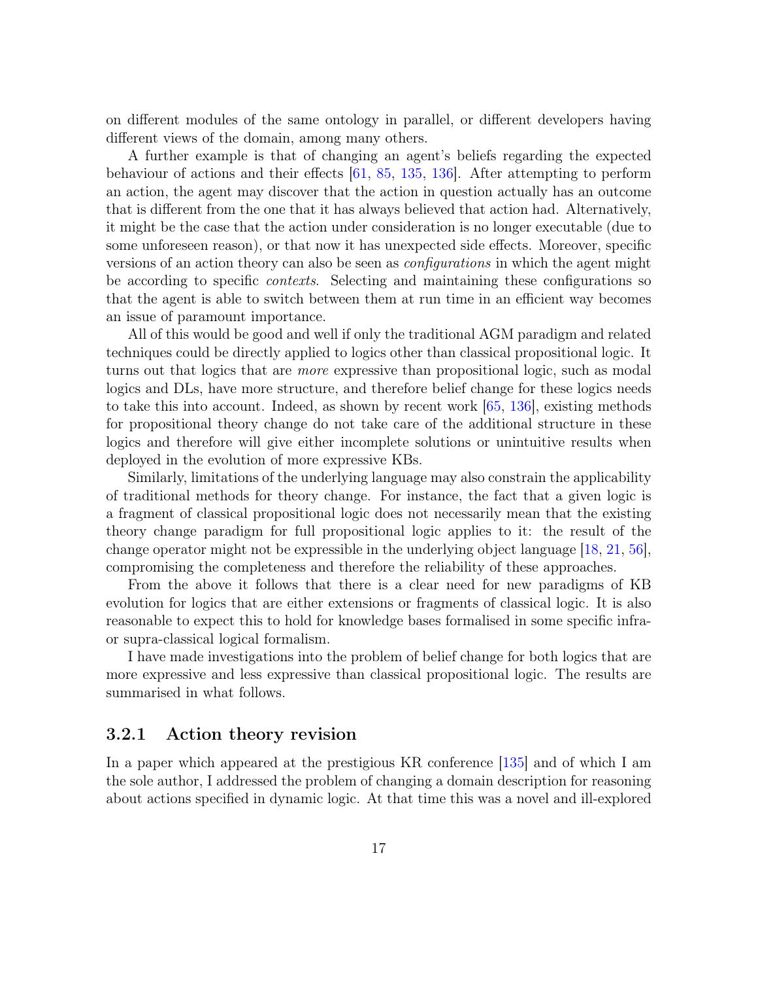on different modules of the same ontology in parallel, or different developers having different views of the domain, among many others.

A further example is that of changing an agent's beliefs regarding the expected behaviour of actions and their effects [61, 85, 135, 136]. After attempting to perform an action, the agent may discover that the action in question actually has an outcome that is different from the one that it has always believed that action had. Alternatively, it might be the case that the action under consideration is no longer executable (due to some unforeseen reason), or that now it has unexpected side effects. Moreover, specific versions of an action theory can also be seen as *configurations* in which the agent might be according to specific contexts. Selecting and maintaining these configurations so that the agent is able to switch between them at run time in an efficient way becomes an issue of paramount importance.

All of this would be good and well if only the traditional AGM paradigm and related techniques could be directly applied to logics other than classical propositional logic. It turns out that logics that are more expressive than propositional logic, such as modal logics and DLs, have more structure, and therefore belief change for these logics needs to take this into account. Indeed, as shown by recent work [65, 136], existing methods for propositional theory change do not take care of the additional structure in these logics and therefore will give either incomplete solutions or unintuitive results when deployed in the evolution of more expressive KBs.

Similarly, limitations of the underlying language may also constrain the applicability of traditional methods for theory change. For instance, the fact that a given logic is a fragment of classical propositional logic does not necessarily mean that the existing theory change paradigm for full propositional logic applies to it: the result of the change operator might not be expressible in the underlying object language [18, 21, 56], compromising the completeness and therefore the reliability of these approaches.

From the above it follows that there is a clear need for new paradigms of KB evolution for logics that are either extensions or fragments of classical logic. It is also reasonable to expect this to hold for knowledge bases formalised in some specific infraor supra-classical logical formalism.

I have made investigations into the problem of belief change for both logics that are more expressive and less expressive than classical propositional logic. The results are summarised in what follows.

#### 3.2.1 Action theory revision

In a paper which appeared at the prestigious KR conference [135] and of which I am the sole author, I addressed the problem of changing a domain description for reasoning about actions specified in dynamic logic. At that time this was a novel and ill-explored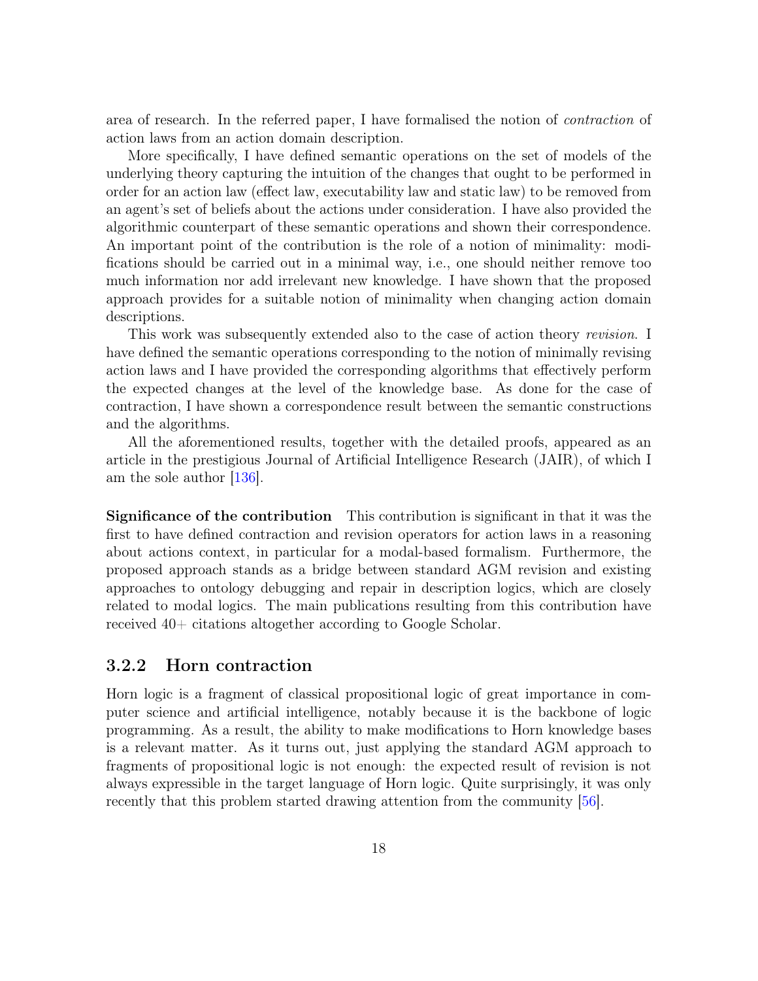area of research. In the referred paper, I have formalised the notion of *contraction* of action laws from an action domain description.

More specifically, I have defined semantic operations on the set of models of the underlying theory capturing the intuition of the changes that ought to be performed in order for an action law (effect law, executability law and static law) to be removed from an agent's set of beliefs about the actions under consideration. I have also provided the algorithmic counterpart of these semantic operations and shown their correspondence. An important point of the contribution is the role of a notion of minimality: modifications should be carried out in a minimal way, i.e., one should neither remove too much information nor add irrelevant new knowledge. I have shown that the proposed approach provides for a suitable notion of minimality when changing action domain descriptions.

This work was subsequently extended also to the case of action theory revision. I have defined the semantic operations corresponding to the notion of minimally revising action laws and I have provided the corresponding algorithms that effectively perform the expected changes at the level of the knowledge base. As done for the case of contraction, I have shown a correspondence result between the semantic constructions and the algorithms.

All the aforementioned results, together with the detailed proofs, appeared as an article in the prestigious Journal of Artificial Intelligence Research (JAIR), of which I am the sole author [136].

Significance of the contribution This contribution is significant in that it was the first to have defined contraction and revision operators for action laws in a reasoning about actions context, in particular for a modal-based formalism. Furthermore, the proposed approach stands as a bridge between standard AGM revision and existing approaches to ontology debugging and repair in description logics, which are closely related to modal logics. The main publications resulting from this contribution have received 40+ citations altogether according to Google Scholar.

#### 3.2.2 Horn contraction

Horn logic is a fragment of classical propositional logic of great importance in computer science and artificial intelligence, notably because it is the backbone of logic programming. As a result, the ability to make modifications to Horn knowledge bases is a relevant matter. As it turns out, just applying the standard AGM approach to fragments of propositional logic is not enough: the expected result of revision is not always expressible in the target language of Horn logic. Quite surprisingly, it was only recently that this problem started drawing attention from the community [56].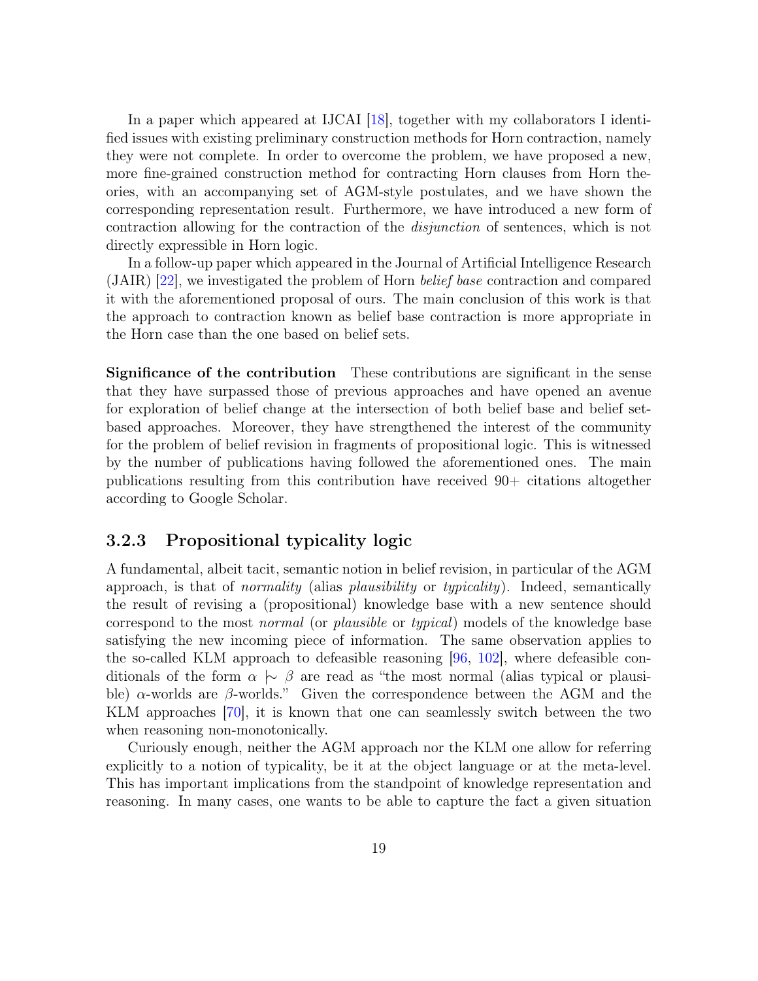In a paper which appeared at IJCAI [18], together with my collaborators I identified issues with existing preliminary construction methods for Horn contraction, namely they were not complete. In order to overcome the problem, we have proposed a new, more fine-grained construction method for contracting Horn clauses from Horn theories, with an accompanying set of AGM-style postulates, and we have shown the corresponding representation result. Furthermore, we have introduced a new form of contraction allowing for the contraction of the disjunction of sentences, which is not directly expressible in Horn logic.

In a follow-up paper which appeared in the Journal of Artificial Intelligence Research (JAIR) [22], we investigated the problem of Horn belief base contraction and compared it with the aforementioned proposal of ours. The main conclusion of this work is that the approach to contraction known as belief base contraction is more appropriate in the Horn case than the one based on belief sets.

Significance of the contribution These contributions are significant in the sense that they have surpassed those of previous approaches and have opened an avenue for exploration of belief change at the intersection of both belief base and belief setbased approaches. Moreover, they have strengthened the interest of the community for the problem of belief revision in fragments of propositional logic. This is witnessed by the number of publications having followed the aforementioned ones. The main publications resulting from this contribution have received 90+ citations altogether according to Google Scholar.

#### 3.2.3 Propositional typicality logic

A fundamental, albeit tacit, semantic notion in belief revision, in particular of the AGM approach, is that of *normality* (alias *plausibility* or *typicality*). Indeed, semantically the result of revising a (propositional) knowledge base with a new sentence should correspond to the most normal (or plausible or typical) models of the knowledge base satisfying the new incoming piece of information. The same observation applies to the so-called KLM approach to defeasible reasoning  $[96, 102]$ , where defeasible conditionals of the form  $\alpha \sim \beta$  are read as "the most normal (alias typical or plausible)  $\alpha$ -worlds are  $\beta$ -worlds." Given the correspondence between the AGM and the KLM approaches [70], it is known that one can seamlessly switch between the two when reasoning non-monotonically.

Curiously enough, neither the AGM approach nor the KLM one allow for referring explicitly to a notion of typicality, be it at the object language or at the meta-level. This has important implications from the standpoint of knowledge representation and reasoning. In many cases, one wants to be able to capture the fact a given situation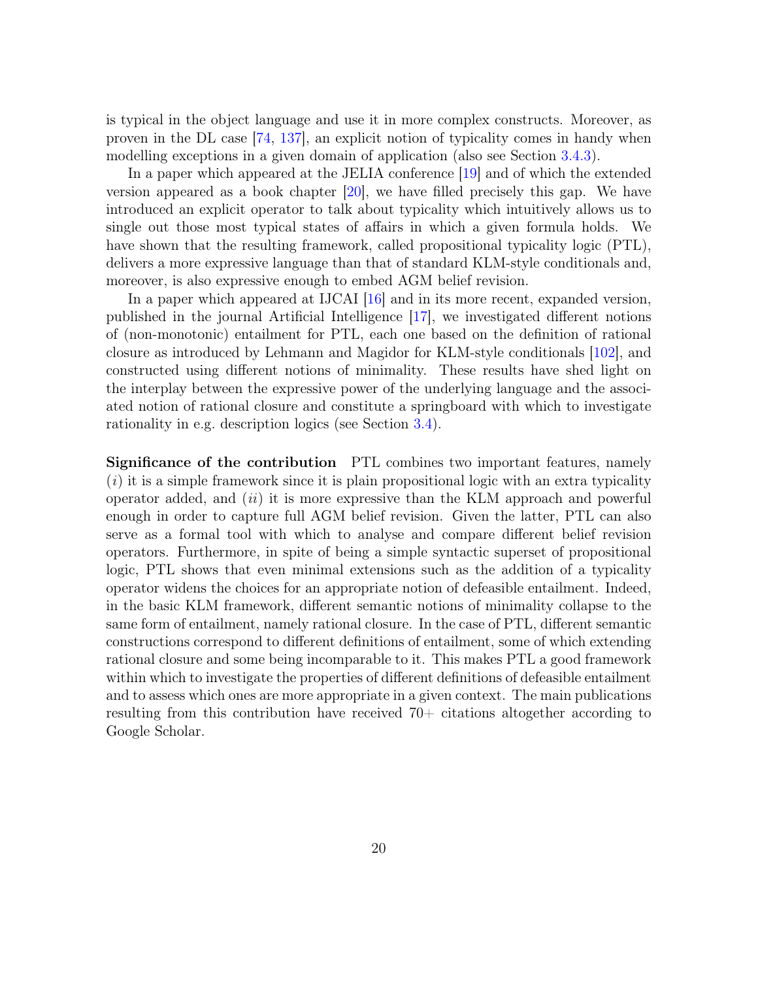is typical in the object language and use it in more complex constructs. Moreover, as proven in the DL case [74, 137], an explicit notion of typicality comes in handy when modelling exceptions in a given domain of application (also see Section 3.4.3).

In a paper which appeared at the JELIA conference [19] and of which the extended version appeared as a book chapter [20], we have filled precisely this gap. We have introduced an explicit operator to talk about typicality which intuitively allows us to single out those most typical states of affairs in which a given formula holds. We have shown that the resulting framework, called propositional typicality logic (PTL), delivers a more expressive language than that of standard KLM-style conditionals and, moreover, is also expressive enough to embed AGM belief revision.

In a paper which appeared at IJCAI [16] and in its more recent, expanded version, published in the journal Artificial Intelligence [17], we investigated different notions of (non-monotonic) entailment for PTL, each one based on the definition of rational closure as introduced by Lehmann and Magidor for KLM-style conditionals [102], and constructed using different notions of minimality. These results have shed light on the interplay between the expressive power of the underlying language and the associated notion of rational closure and constitute a springboard with which to investigate rationality in e.g. description logics (see Section 3.4).

Significance of the contribution PTL combines two important features, namely  $(i)$  it is a simple framework since it is plain propositional logic with an extra typicality operator added, and  $(ii)$  it is more expressive than the KLM approach and powerful enough in order to capture full AGM belief revision. Given the latter, PTL can also serve as a formal tool with which to analyse and compare different belief revision operators. Furthermore, in spite of being a simple syntactic superset of propositional logic, PTL shows that even minimal extensions such as the addition of a typicality operator widens the choices for an appropriate notion of defeasible entailment. Indeed, in the basic KLM framework, different semantic notions of minimality collapse to the same form of entailment, namely rational closure. In the case of PTL, different semantic constructions correspond to different definitions of entailment, some of which extending rational closure and some being incomparable to it. This makes PTL a good framework within which to investigate the properties of different definitions of defeasible entailment and to assess which ones are more appropriate in a given context. The main publications resulting from this contribution have received 70+ citations altogether according to Google Scholar.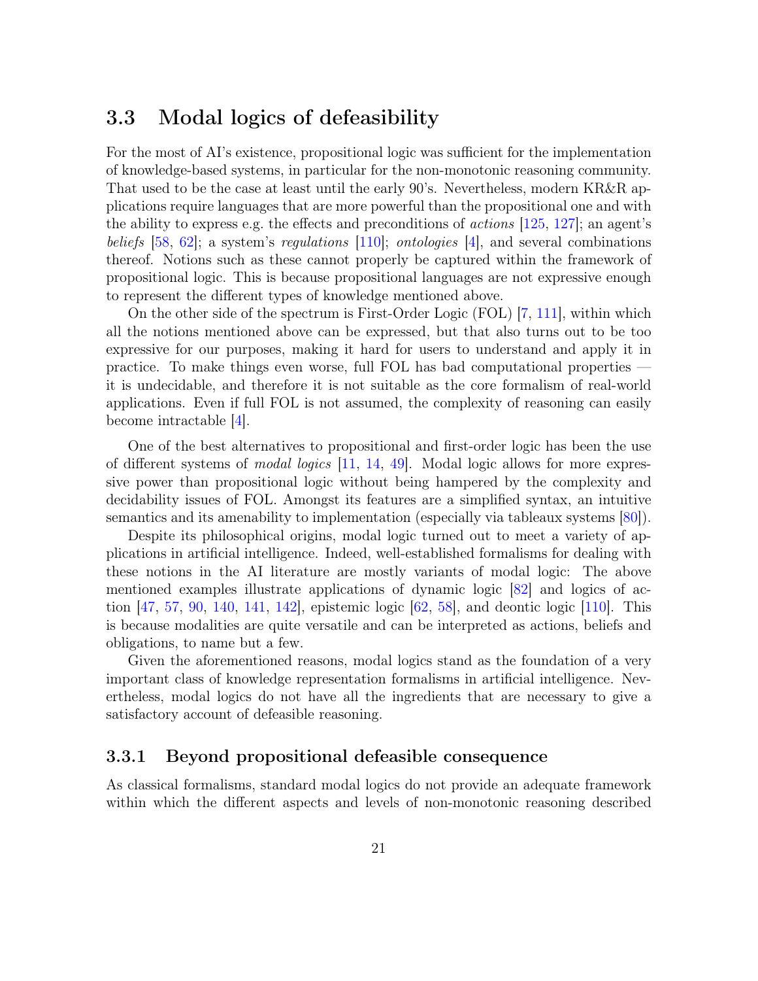### 3.3 Modal logics of defeasibility

For the most of AI's existence, propositional logic was sufficient for the implementation of knowledge-based systems, in particular for the non-monotonic reasoning community. That used to be the case at least until the early 90's. Nevertheless, modern KR&R applications require languages that are more powerful than the propositional one and with the ability to express e.g. the effects and preconditions of *actions* [125, 127]; an agent's beliefs [58, 62]; a system's regulations [110]; ontologies [4], and several combinations thereof. Notions such as these cannot properly be captured within the framework of propositional logic. This is because propositional languages are not expressive enough to represent the different types of knowledge mentioned above.

On the other side of the spectrum is First-Order Logic (FOL) [7, 111], within which all the notions mentioned above can be expressed, but that also turns out to be too expressive for our purposes, making it hard for users to understand and apply it in practice. To make things even worse, full FOL has bad computational properties it is undecidable, and therefore it is not suitable as the core formalism of real-world applications. Even if full FOL is not assumed, the complexity of reasoning can easily become intractable [4].

One of the best alternatives to propositional and first-order logic has been the use of different systems of modal logics [11, 14, 49]. Modal logic allows for more expressive power than propositional logic without being hampered by the complexity and decidability issues of FOL. Amongst its features are a simplified syntax, an intuitive semantics and its amenability to implementation (especially via tableaux systems [80]).

Despite its philosophical origins, modal logic turned out to meet a variety of applications in artificial intelligence. Indeed, well-established formalisms for dealing with these notions in the AI literature are mostly variants of modal logic: The above mentioned examples illustrate applications of dynamic logic [82] and logics of action [47, 57, 90, 140, 141, 142], epistemic logic [62, 58], and deontic logic [110]. This is because modalities are quite versatile and can be interpreted as actions, beliefs and obligations, to name but a few.

Given the aforementioned reasons, modal logics stand as the foundation of a very important class of knowledge representation formalisms in artificial intelligence. Nevertheless, modal logics do not have all the ingredients that are necessary to give a satisfactory account of defeasible reasoning.

#### 3.3.1 Beyond propositional defeasible consequence

As classical formalisms, standard modal logics do not provide an adequate framework within which the different aspects and levels of non-monotonic reasoning described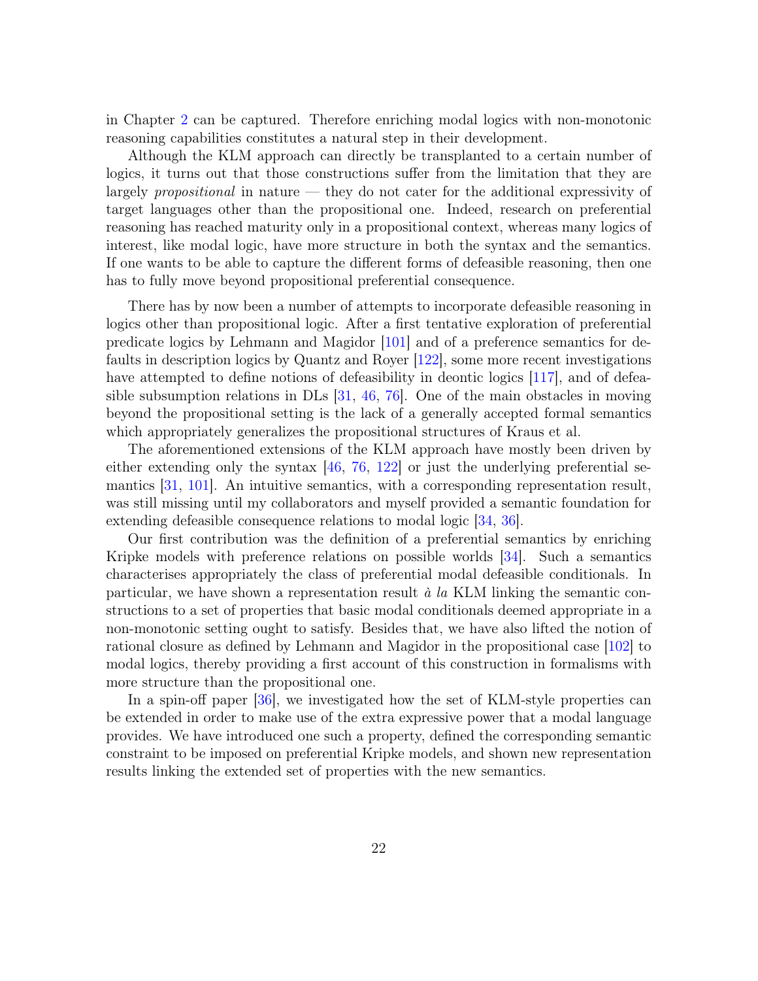in Chapter 2 can be captured. Therefore enriching modal logics with non-monotonic reasoning capabilities constitutes a natural step in their development.

Although the KLM approach can directly be transplanted to a certain number of logics, it turns out that those constructions suffer from the limitation that they are largely propositional in nature — they do not cater for the additional expressivity of target languages other than the propositional one. Indeed, research on preferential reasoning has reached maturity only in a propositional context, whereas many logics of interest, like modal logic, have more structure in both the syntax and the semantics. If one wants to be able to capture the different forms of defeasible reasoning, then one has to fully move beyond propositional preferential consequence.

There has by now been a number of attempts to incorporate defeasible reasoning in logics other than propositional logic. After a first tentative exploration of preferential predicate logics by Lehmann and Magidor [101] and of a preference semantics for defaults in description logics by Quantz and Royer [122], some more recent investigations have attempted to define notions of defeasibility in deontic logics [117], and of defeasible subsumption relations in DLs [31, 46, 76]. One of the main obstacles in moving beyond the propositional setting is the lack of a generally accepted formal semantics which appropriately generalizes the propositional structures of Kraus et al.

The aforementioned extensions of the KLM approach have mostly been driven by either extending only the syntax  $\left[46, 76, 122\right]$  or just the underlying preferential semantics [31, 101]. An intuitive semantics, with a corresponding representation result, was still missing until my collaborators and myself provided a semantic foundation for extending defeasible consequence relations to modal logic [34, 36].

Our first contribution was the definition of a preferential semantics by enriching Kripke models with preference relations on possible worlds [34]. Such a semantics characterises appropriately the class of preferential modal defeasible conditionals. In particular, we have shown a representation result  $\dot{a}$  la KLM linking the semantic constructions to a set of properties that basic modal conditionals deemed appropriate in a non-monotonic setting ought to satisfy. Besides that, we have also lifted the notion of rational closure as defined by Lehmann and Magidor in the propositional case [102] to modal logics, thereby providing a first account of this construction in formalisms with more structure than the propositional one.

In a spin-off paper [36], we investigated how the set of KLM-style properties can be extended in order to make use of the extra expressive power that a modal language provides. We have introduced one such a property, defined the corresponding semantic constraint to be imposed on preferential Kripke models, and shown new representation results linking the extended set of properties with the new semantics.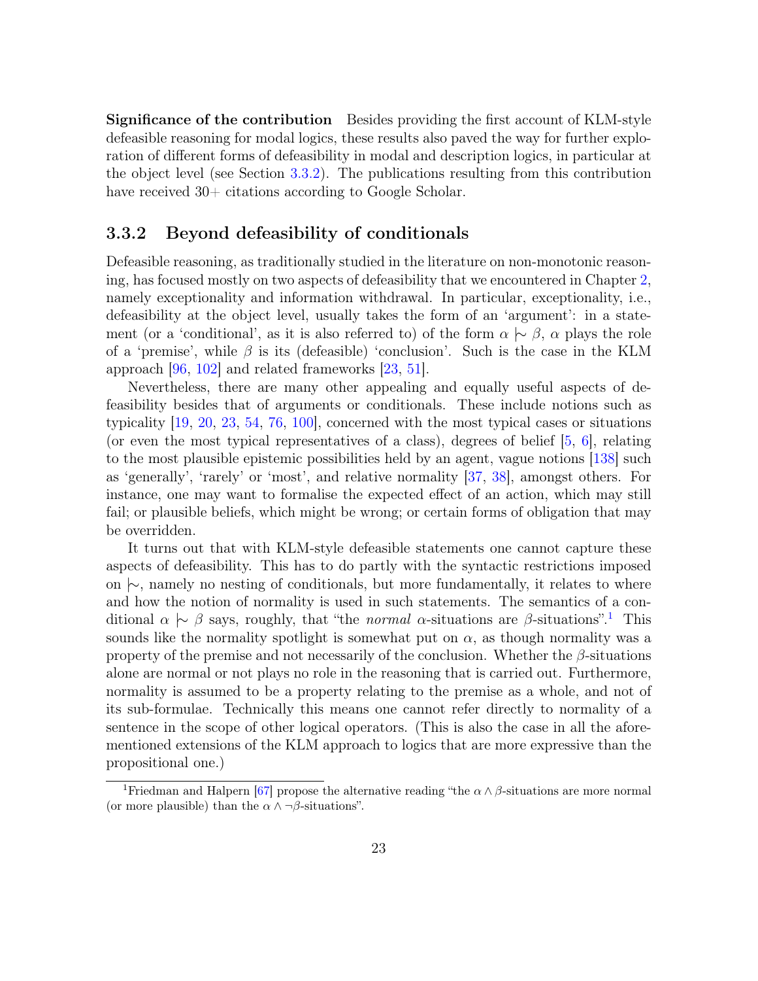Significance of the contribution Besides providing the first account of KLM-style defeasible reasoning for modal logics, these results also paved the way for further exploration of different forms of defeasibility in modal and description logics, in particular at the object level (see Section 3.3.2). The publications resulting from this contribution have received  $30+$  citations according to Google Scholar.

#### 3.3.2 Beyond defeasibility of conditionals

Defeasible reasoning, as traditionally studied in the literature on non-monotonic reasoning, has focused mostly on two aspects of defeasibility that we encountered in Chapter 2, namely exceptionality and information withdrawal. In particular, exceptionality, i.e., defeasibility at the object level, usually takes the form of an 'argument': in a statement (or a 'conditional', as it is also referred to) of the form  $\alpha \sim \beta$ ,  $\alpha$  plays the role of a 'premise', while  $\beta$  is its (defeasible) 'conclusion'. Such is the case in the KLM approach [96, 102] and related frameworks [23, 51].

Nevertheless, there are many other appealing and equally useful aspects of defeasibility besides that of arguments or conditionals. These include notions such as typicality [19, 20, 23, 54, 76, 100], concerned with the most typical cases or situations (or even the most typical representatives of a class), degrees of belief  $[5, 6]$ , relating to the most plausible epistemic possibilities held by an agent, vague notions [138] such as 'generally', 'rarely' or 'most', and relative normality [37, 38], amongst others. For instance, one may want to formalise the expected effect of an action, which may still fail; or plausible beliefs, which might be wrong; or certain forms of obligation that may be overridden.

It turns out that with KLM-style defeasible statements one cannot capture these aspects of defeasibility. This has to do partly with the syntactic restrictions imposed on |∼, namely no nesting of conditionals, but more fundamentally, it relates to where and how the notion of normality is used in such statements. The semantics of a conditional  $\alpha \sim \beta$  says, roughly, that "the normal  $\alpha$ -situations are  $\beta$ -situations".<sup>1</sup> This sounds like the normality spotlight is somewhat put on  $\alpha$ , as though normality was a property of the premise and not necessarily of the conclusion. Whether the  $\beta$ -situations alone are normal or not plays no role in the reasoning that is carried out. Furthermore, normality is assumed to be a property relating to the premise as a whole, and not of its sub-formulae. Technically this means one cannot refer directly to normality of a sentence in the scope of other logical operators. (This is also the case in all the aforementioned extensions of the KLM approach to logics that are more expressive than the propositional one.)

<sup>&</sup>lt;sup>1</sup>Friedman and Halpern [67] propose the alternative reading "the  $\alpha \wedge \beta$ -situations are more normal (or more plausible) than the  $\alpha \wedge \neg \beta$ -situations".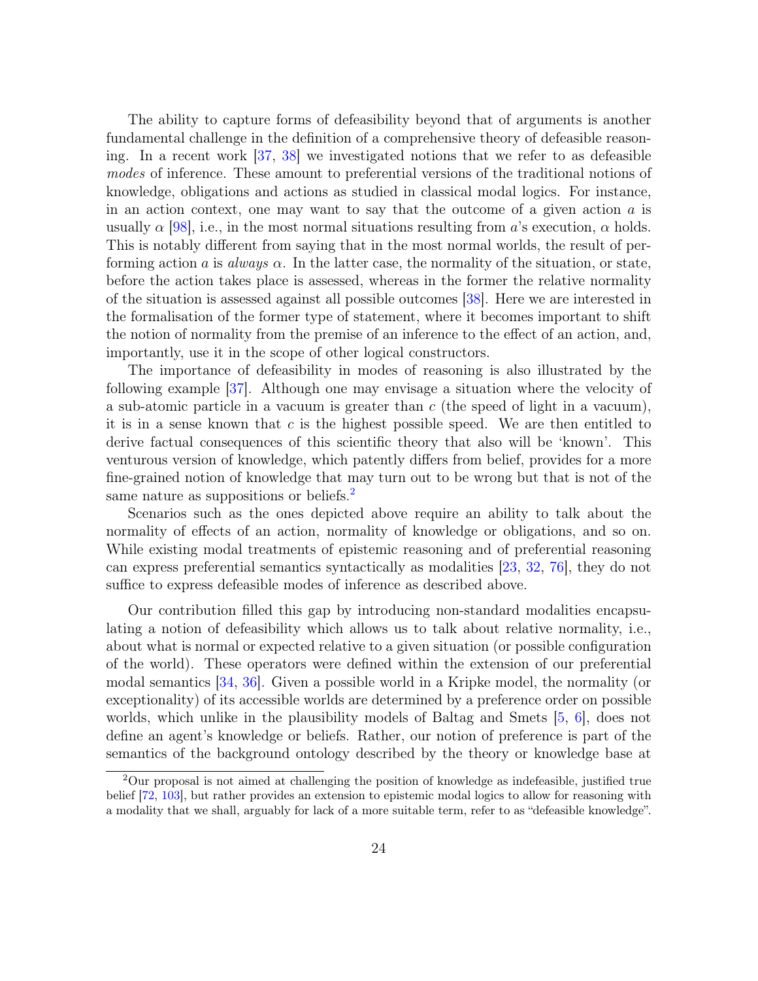The ability to capture forms of defeasibility beyond that of arguments is another fundamental challenge in the definition of a comprehensive theory of defeasible reasoning. In a recent work [37, 38] we investigated notions that we refer to as defeasible modes of inference. These amount to preferential versions of the traditional notions of knowledge, obligations and actions as studied in classical modal logics. For instance, in an action context, one may want to say that the outcome of a given action  $a$  is usually  $\alpha$  [98], i.e., in the most normal situations resulting from a's execution,  $\alpha$  holds. This is notably different from saying that in the most normal worlds, the result of performing action a is always  $\alpha$ . In the latter case, the normality of the situation, or state, before the action takes place is assessed, whereas in the former the relative normality of the situation is assessed against all possible outcomes [38]. Here we are interested in the formalisation of the former type of statement, where it becomes important to shift the notion of normality from the premise of an inference to the effect of an action, and, importantly, use it in the scope of other logical constructors.

The importance of defeasibility in modes of reasoning is also illustrated by the following example [37]. Although one may envisage a situation where the velocity of a sub-atomic particle in a vacuum is greater than  $c$  (the speed of light in a vacuum), it is in a sense known that c is the highest possible speed. We are then entitled to derive factual consequences of this scientific theory that also will be 'known'. This venturous version of knowledge, which patently differs from belief, provides for a more fine-grained notion of knowledge that may turn out to be wrong but that is not of the same nature as suppositions or beliefs.<sup>2</sup>

Scenarios such as the ones depicted above require an ability to talk about the normality of effects of an action, normality of knowledge or obligations, and so on. While existing modal treatments of epistemic reasoning and of preferential reasoning can express preferential semantics syntactically as modalities [23, 32, 76], they do not suffice to express defeasible modes of inference as described above.

Our contribution filled this gap by introducing non-standard modalities encapsulating a notion of defeasibility which allows us to talk about relative normality, i.e., about what is normal or expected relative to a given situation (or possible configuration of the world). These operators were defined within the extension of our preferential modal semantics [34, 36]. Given a possible world in a Kripke model, the normality (or exceptionality) of its accessible worlds are determined by a preference order on possible worlds, which unlike in the plausibility models of Baltag and Smets [5, 6], does not define an agent's knowledge or beliefs. Rather, our notion of preference is part of the semantics of the background ontology described by the theory or knowledge base at

<sup>2</sup>Our proposal is not aimed at challenging the position of knowledge as indefeasible, justified true belief [72, 103], but rather provides an extension to epistemic modal logics to allow for reasoning with a modality that we shall, arguably for lack of a more suitable term, refer to as "defeasible knowledge".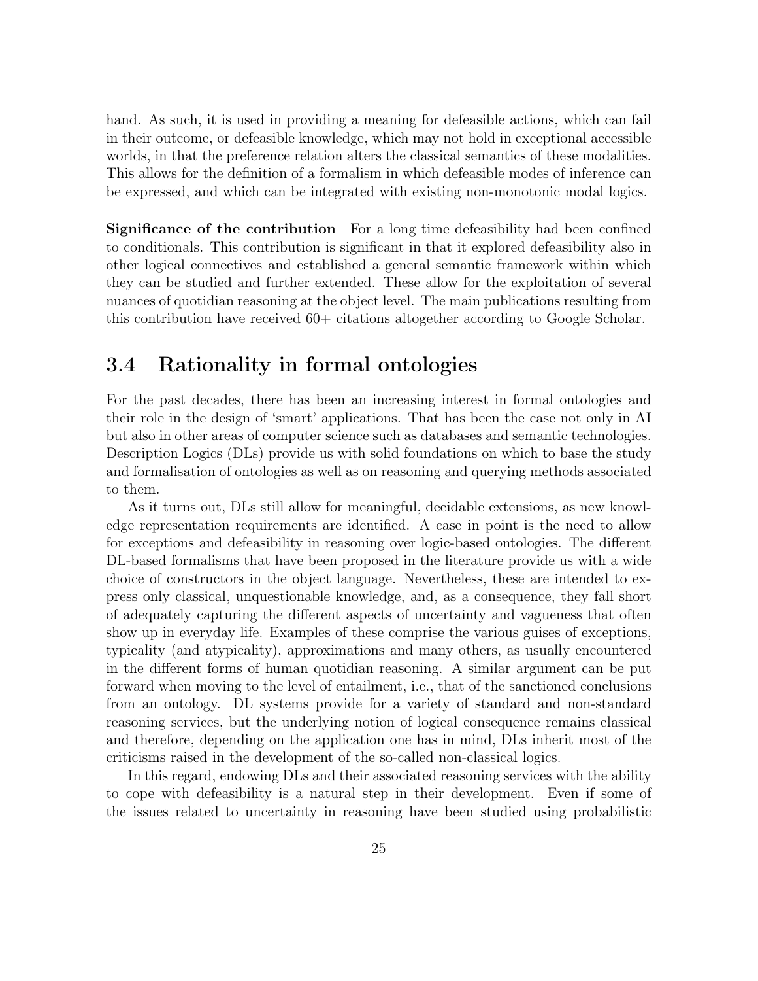hand. As such, it is used in providing a meaning for defeasible actions, which can fail in their outcome, or defeasible knowledge, which may not hold in exceptional accessible worlds, in that the preference relation alters the classical semantics of these modalities. This allows for the definition of a formalism in which defeasible modes of inference can be expressed, and which can be integrated with existing non-monotonic modal logics.

Significance of the contribution For a long time defeasibility had been confined to conditionals. This contribution is significant in that it explored defeasibility also in other logical connectives and established a general semantic framework within which they can be studied and further extended. These allow for the exploitation of several nuances of quotidian reasoning at the object level. The main publications resulting from this contribution have received 60+ citations altogether according to Google Scholar.

### 3.4 Rationality in formal ontologies

For the past decades, there has been an increasing interest in formal ontologies and their role in the design of 'smart' applications. That has been the case not only in AI but also in other areas of computer science such as databases and semantic technologies. Description Logics (DLs) provide us with solid foundations on which to base the study and formalisation of ontologies as well as on reasoning and querying methods associated to them.

As it turns out, DLs still allow for meaningful, decidable extensions, as new knowledge representation requirements are identified. A case in point is the need to allow for exceptions and defeasibility in reasoning over logic-based ontologies. The different DL-based formalisms that have been proposed in the literature provide us with a wide choice of constructors in the object language. Nevertheless, these are intended to express only classical, unquestionable knowledge, and, as a consequence, they fall short of adequately capturing the different aspects of uncertainty and vagueness that often show up in everyday life. Examples of these comprise the various guises of exceptions, typicality (and atypicality), approximations and many others, as usually encountered in the different forms of human quotidian reasoning. A similar argument can be put forward when moving to the level of entailment, i.e., that of the sanctioned conclusions from an ontology. DL systems provide for a variety of standard and non-standard reasoning services, but the underlying notion of logical consequence remains classical and therefore, depending on the application one has in mind, DLs inherit most of the criticisms raised in the development of the so-called non-classical logics.

In this regard, endowing DLs and their associated reasoning services with the ability to cope with defeasibility is a natural step in their development. Even if some of the issues related to uncertainty in reasoning have been studied using probabilistic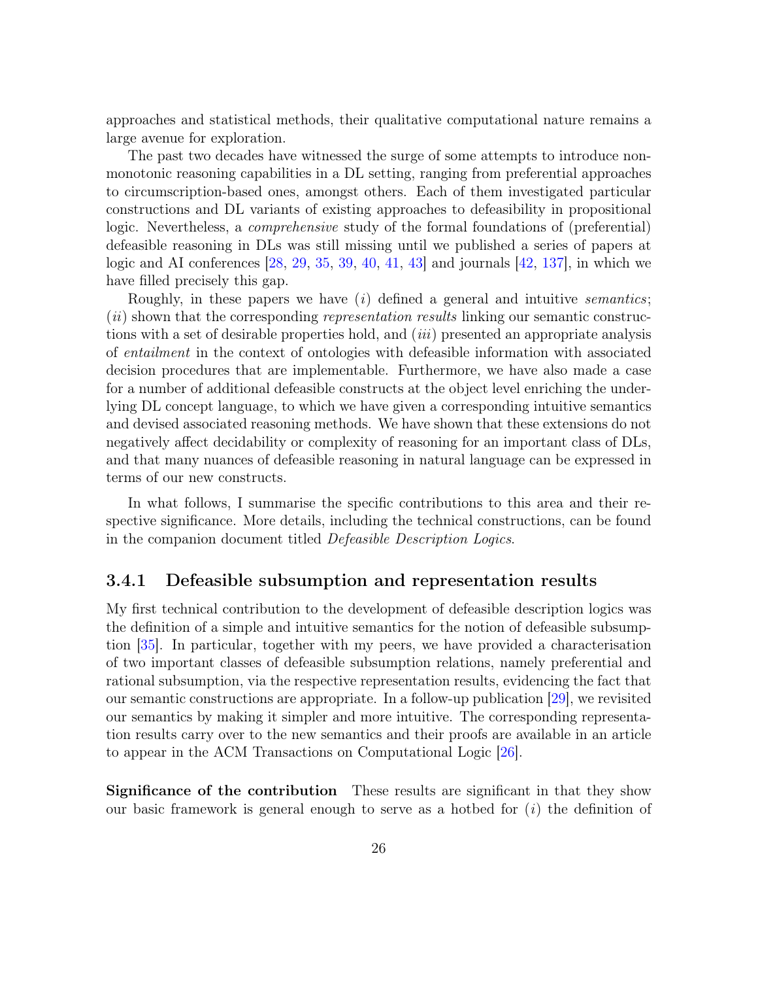approaches and statistical methods, their qualitative computational nature remains a large avenue for exploration.

The past two decades have witnessed the surge of some attempts to introduce nonmonotonic reasoning capabilities in a DL setting, ranging from preferential approaches to circumscription-based ones, amongst others. Each of them investigated particular constructions and DL variants of existing approaches to defeasibility in propositional logic. Nevertheless, a *comprehensive* study of the formal foundations of (preferential) defeasible reasoning in DLs was still missing until we published a series of papers at logic and AI conferences [28, 29, 35, 39, 40, 41, 43] and journals [42, 137], in which we have filled precisely this gap.

Roughly, in these papers we have  $(i)$  defined a general and intuitive *semantics*; (*ii*) shown that the corresponding *representation results* linking our semantic constructions with a set of desirable properties hold, and (iii) presented an appropriate analysis of entailment in the context of ontologies with defeasible information with associated decision procedures that are implementable. Furthermore, we have also made a case for a number of additional defeasible constructs at the object level enriching the underlying DL concept language, to which we have given a corresponding intuitive semantics and devised associated reasoning methods. We have shown that these extensions do not negatively affect decidability or complexity of reasoning for an important class of DLs, and that many nuances of defeasible reasoning in natural language can be expressed in terms of our new constructs.

In what follows, I summarise the specific contributions to this area and their respective significance. More details, including the technical constructions, can be found in the companion document titled Defeasible Description Logics.

#### 3.4.1 Defeasible subsumption and representation results

My first technical contribution to the development of defeasible description logics was the definition of a simple and intuitive semantics for the notion of defeasible subsumption [35]. In particular, together with my peers, we have provided a characterisation of two important classes of defeasible subsumption relations, namely preferential and rational subsumption, via the respective representation results, evidencing the fact that our semantic constructions are appropriate. In a follow-up publication [29], we revisited our semantics by making it simpler and more intuitive. The corresponding representation results carry over to the new semantics and their proofs are available in an article to appear in the ACM Transactions on Computational Logic [26].

Significance of the contribution These results are significant in that they show our basic framework is general enough to serve as a hotbed for  $(i)$  the definition of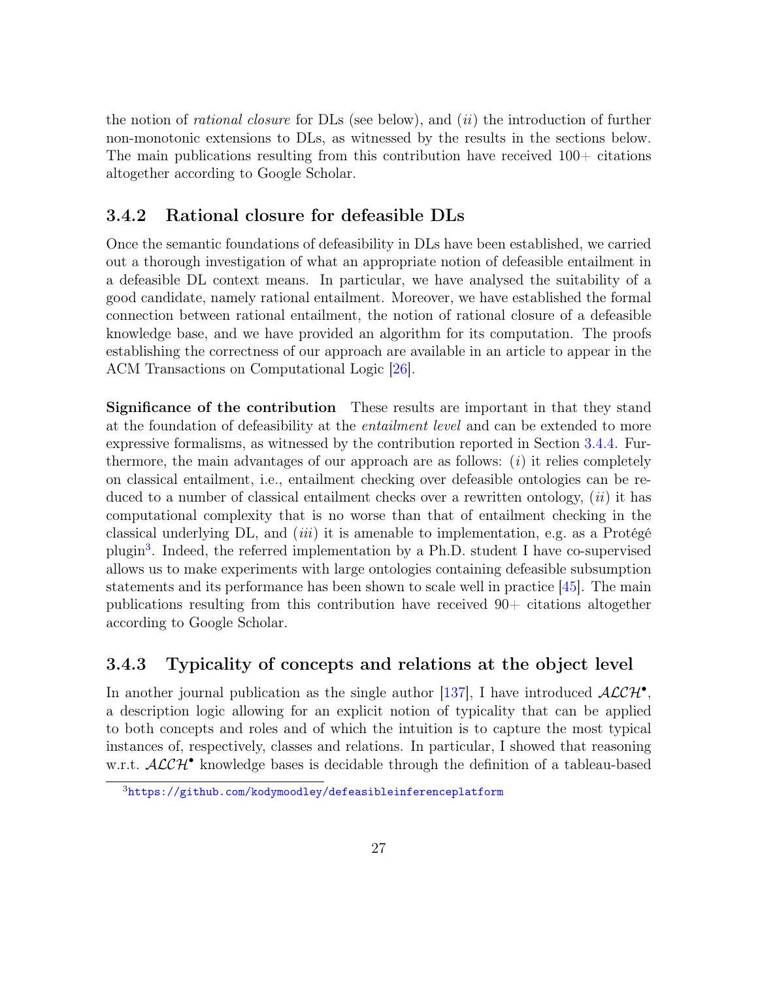the notion of *rational closure* for  $\text{DLs}$  (see below), and *(ii)* the introduction of further non-monotonic extensions to DLs, as witnessed by the results in the sections below. The main publications resulting from this contribution have received  $100+$  citations altogether according to Google Scholar.

#### 3.4.2 Rational closure for defeasible DLs

Once the semantic foundations of defeasibility in DLs have been established, we carried out a thorough investigation of what an appropriate notion of defeasible entailment in a defeasible DL context means. In particular, we have analysed the suitability of a good candidate, namely rational entailment. Moreover, we have established the formal connection between rational entailment, the notion of rational closure of a defeasible knowledge base, and we have provided an algorithm for its computation. The proofs establishing the correctness of our approach are available in an article to appear in the ACM Transactions on Computational Logic [26].

Significance of the contribution These results are important in that they stand at the foundation of defeasibility at the entailment level and can be extended to more expressive formalisms, as witnessed by the contribution reported in Section 3.4.4. Furthermore, the main advantages of our approach are as follows:  $(i)$  it relies completely on classical entailment, i.e., entailment checking over defeasible ontologies can be reduced to a number of classical entailment checks over a rewritten ontology,  $(ii)$  it has computational complexity that is no worse than that of entailment checking in the classical underlying DL, and *(iii)* it is amenable to implementation, e.g. as a Protégé plugin<sup>3</sup>. Indeed, the referred implementation by a Ph.D. student I have co-supervised allows us to make experiments with large ontologies containing defeasible subsumption statements and its performance has been shown to scale well in practice [45]. The main publications resulting from this contribution have received 90+ citations altogether according to Google Scholar.

#### 3.4.3 Typicality of concepts and relations at the object level

In another journal publication as the single author [137], I have introduced  $\mathcal{ALCH}^{\bullet}$ , a description logic allowing for an explicit notion of typicality that can be applied to both concepts and roles and of which the intuition is to capture the most typical instances of, respectively, classes and relations. In particular, I showed that reasoning w.r.t.  $\mathcal{ALCH}^{\bullet}$  knowledge bases is decidable through the definition of a tableau-based

<sup>3</sup><https://github.com/kodymoodley/defeasibleinferenceplatform>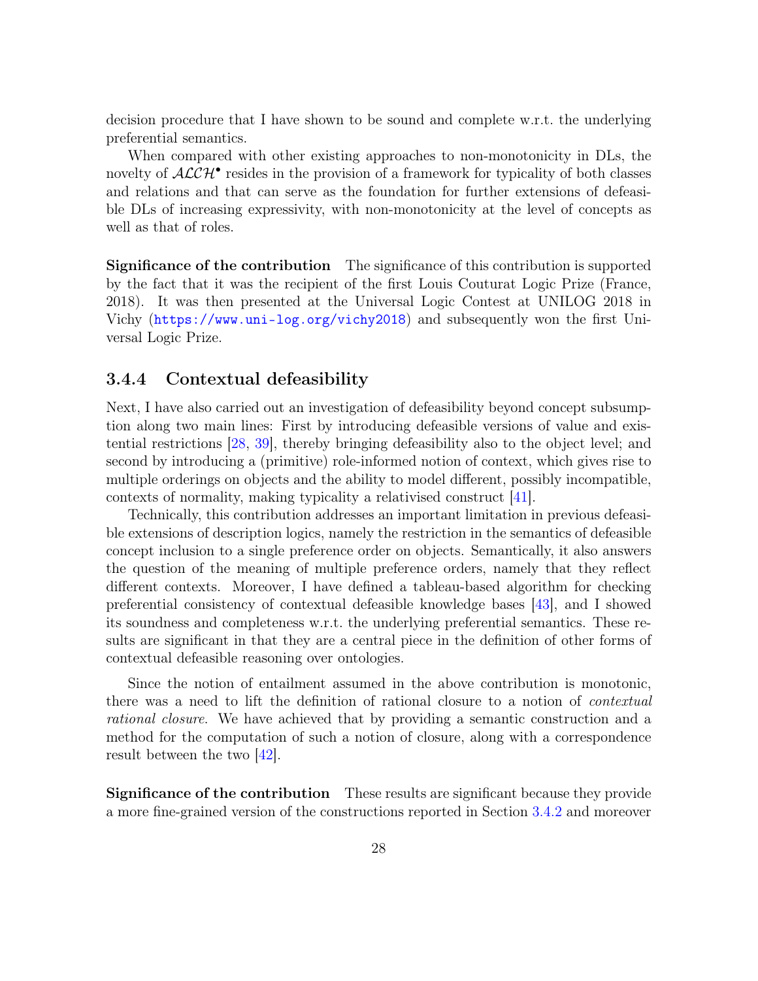decision procedure that I have shown to be sound and complete w.r.t. the underlying preferential semantics.

When compared with other existing approaches to non-monotonicity in DLs, the novelty of  $\mathcal{ALCH}^{\bullet}$  resides in the provision of a framework for typicality of both classes and relations and that can serve as the foundation for further extensions of defeasible DLs of increasing expressivity, with non-monotonicity at the level of concepts as well as that of roles.

Significance of the contribution The significance of this contribution is supported by the fact that it was the recipient of the first Louis Couturat Logic Prize (France, 2018). It was then presented at the Universal Logic Contest at UNILOG 2018 in Vichy (<https://www.uni-log.org/vichy2018>) and subsequently won the first Universal Logic Prize.

#### 3.4.4 Contextual defeasibility

Next, I have also carried out an investigation of defeasibility beyond concept subsumption along two main lines: First by introducing defeasible versions of value and existential restrictions [28, 39], thereby bringing defeasibility also to the object level; and second by introducing a (primitive) role-informed notion of context, which gives rise to multiple orderings on objects and the ability to model different, possibly incompatible, contexts of normality, making typicality a relativised construct [41].

Technically, this contribution addresses an important limitation in previous defeasible extensions of description logics, namely the restriction in the semantics of defeasible concept inclusion to a single preference order on objects. Semantically, it also answers the question of the meaning of multiple preference orders, namely that they reflect different contexts. Moreover, I have defined a tableau-based algorithm for checking preferential consistency of contextual defeasible knowledge bases [43], and I showed its soundness and completeness w.r.t. the underlying preferential semantics. These results are significant in that they are a central piece in the definition of other forms of contextual defeasible reasoning over ontologies.

Since the notion of entailment assumed in the above contribution is monotonic, there was a need to lift the definition of rational closure to a notion of *contextual* rational closure. We have achieved that by providing a semantic construction and a method for the computation of such a notion of closure, along with a correspondence result between the two [42].

Significance of the contribution These results are significant because they provide a more fine-grained version of the constructions reported in Section 3.4.2 and moreover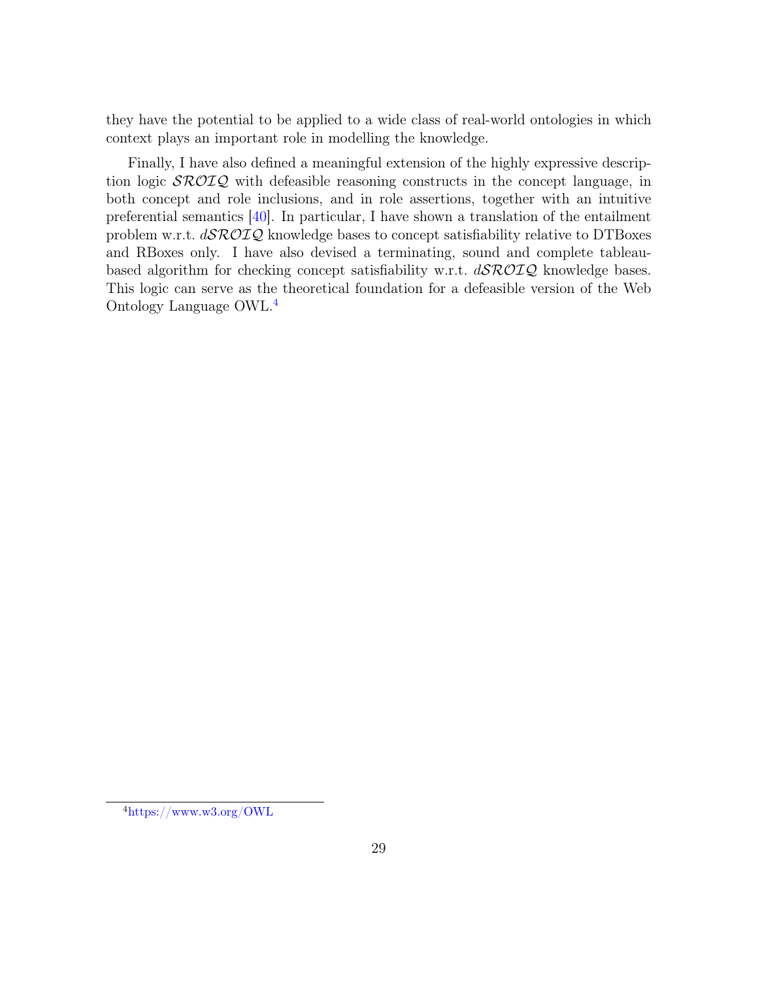they have the potential to be applied to a wide class of real-world ontologies in which context plays an important role in modelling the knowledge.

Finally, I have also defined a meaningful extension of the highly expressive description logic  $\mathcal{SROIQ}$  with defeasible reasoning constructs in the concept language, in both concept and role inclusions, and in role assertions, together with an intuitive preferential semantics [40]. In particular, I have shown a translation of the entailment problem w.r.t.  $d\mathcal{SROIQ}$  knowledge bases to concept satisfiability relative to DTBoxes and RBoxes only. I have also devised a terminating, sound and complete tableaubased algorithm for checking concept satisfiability w.r.t.  $d\mathcal{SROIQ}$  knowledge bases. This logic can serve as the theoretical foundation for a defeasible version of the Web Ontology Language OWL.4

<sup>4</sup><https://www.w3.org/OWL>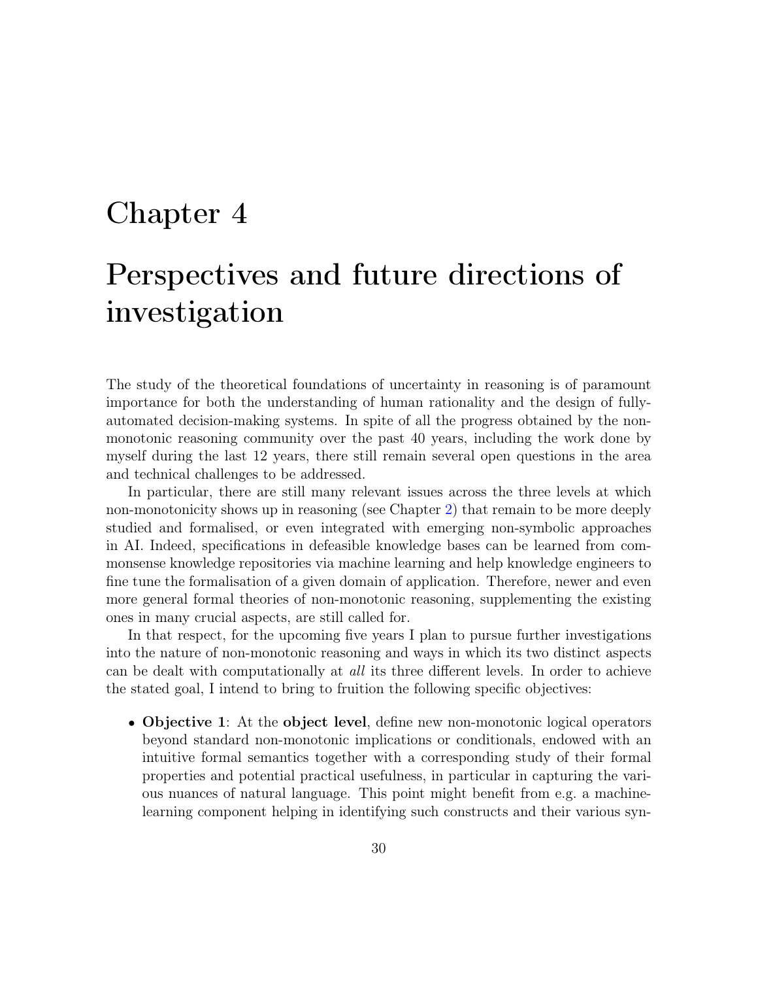## Chapter 4

# Perspectives and future directions of investigation

The study of the theoretical foundations of uncertainty in reasoning is of paramount importance for both the understanding of human rationality and the design of fullyautomated decision-making systems. In spite of all the progress obtained by the nonmonotonic reasoning community over the past 40 years, including the work done by myself during the last 12 years, there still remain several open questions in the area and technical challenges to be addressed.

In particular, there are still many relevant issues across the three levels at which non-monotonicity shows up in reasoning (see Chapter 2) that remain to be more deeply studied and formalised, or even integrated with emerging non-symbolic approaches in AI. Indeed, specifications in defeasible knowledge bases can be learned from commonsense knowledge repositories via machine learning and help knowledge engineers to fine tune the formalisation of a given domain of application. Therefore, newer and even more general formal theories of non-monotonic reasoning, supplementing the existing ones in many crucial aspects, are still called for.

In that respect, for the upcoming five years I plan to pursue further investigations into the nature of non-monotonic reasoning and ways in which its two distinct aspects can be dealt with computationally at all its three different levels. In order to achieve the stated goal, I intend to bring to fruition the following specific objectives:

• Objective 1: At the object level, define new non-monotonic logical operators beyond standard non-monotonic implications or conditionals, endowed with an intuitive formal semantics together with a corresponding study of their formal properties and potential practical usefulness, in particular in capturing the various nuances of natural language. This point might benefit from e.g. a machinelearning component helping in identifying such constructs and their various syn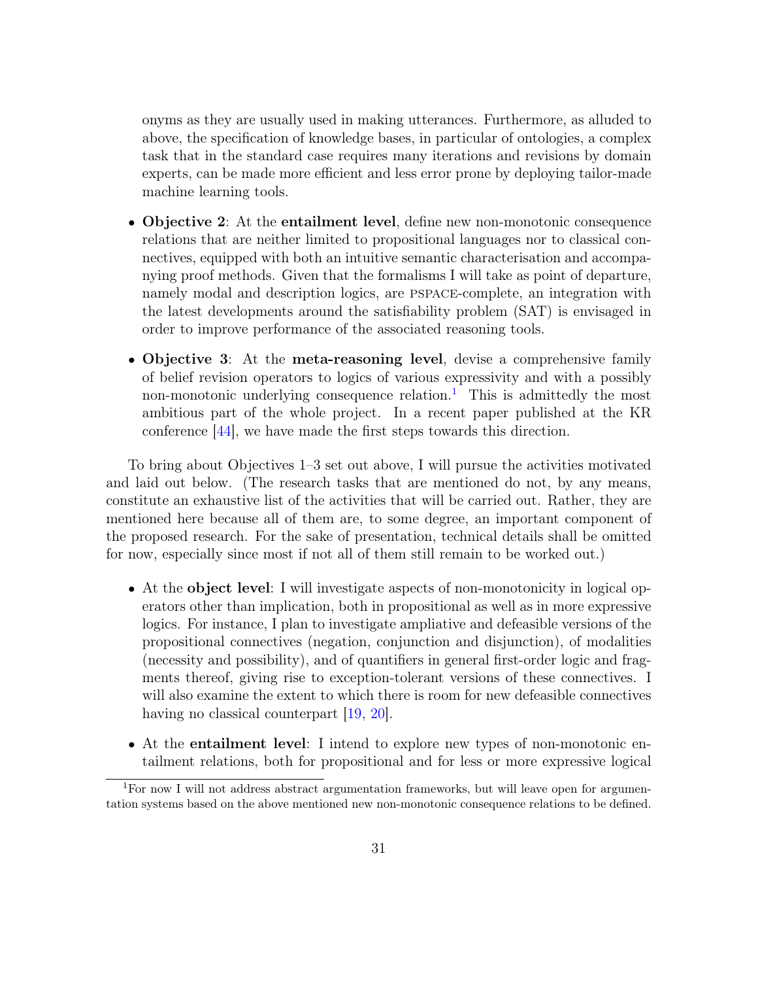onyms as they are usually used in making utterances. Furthermore, as alluded to above, the specification of knowledge bases, in particular of ontologies, a complex task that in the standard case requires many iterations and revisions by domain experts, can be made more efficient and less error prone by deploying tailor-made machine learning tools.

- Objective 2: At the entailment level, define new non-monotonic consequence relations that are neither limited to propositional languages nor to classical connectives, equipped with both an intuitive semantic characterisation and accompanying proof methods. Given that the formalisms I will take as point of departure, namely modal and description logics, are pspace-complete, an integration with the latest developments around the satisfiability problem (SAT) is envisaged in order to improve performance of the associated reasoning tools.
- Objective 3: At the meta-reasoning level, devise a comprehensive family of belief revision operators to logics of various expressivity and with a possibly non-monotonic underlying consequence relation.<sup>1</sup> This is admittedly the most ambitious part of the whole project. In a recent paper published at the KR conference [44], we have made the first steps towards this direction.

To bring about Objectives 1–3 set out above, I will pursue the activities motivated and laid out below. (The research tasks that are mentioned do not, by any means, constitute an exhaustive list of the activities that will be carried out. Rather, they are mentioned here because all of them are, to some degree, an important component of the proposed research. For the sake of presentation, technical details shall be omitted for now, especially since most if not all of them still remain to be worked out.)

- At the object level: I will investigate aspects of non-monotonicity in logical operators other than implication, both in propositional as well as in more expressive logics. For instance, I plan to investigate ampliative and defeasible versions of the propositional connectives (negation, conjunction and disjunction), of modalities (necessity and possibility), and of quantifiers in general first-order logic and fragments thereof, giving rise to exception-tolerant versions of these connectives. I will also examine the extent to which there is room for new defeasible connectives having no classical counterpart [19, 20].
- At the **entailment level**: I intend to explore new types of non-monotonic entailment relations, both for propositional and for less or more expressive logical

<sup>1</sup>For now I will not address abstract argumentation frameworks, but will leave open for argumentation systems based on the above mentioned new non-monotonic consequence relations to be defined.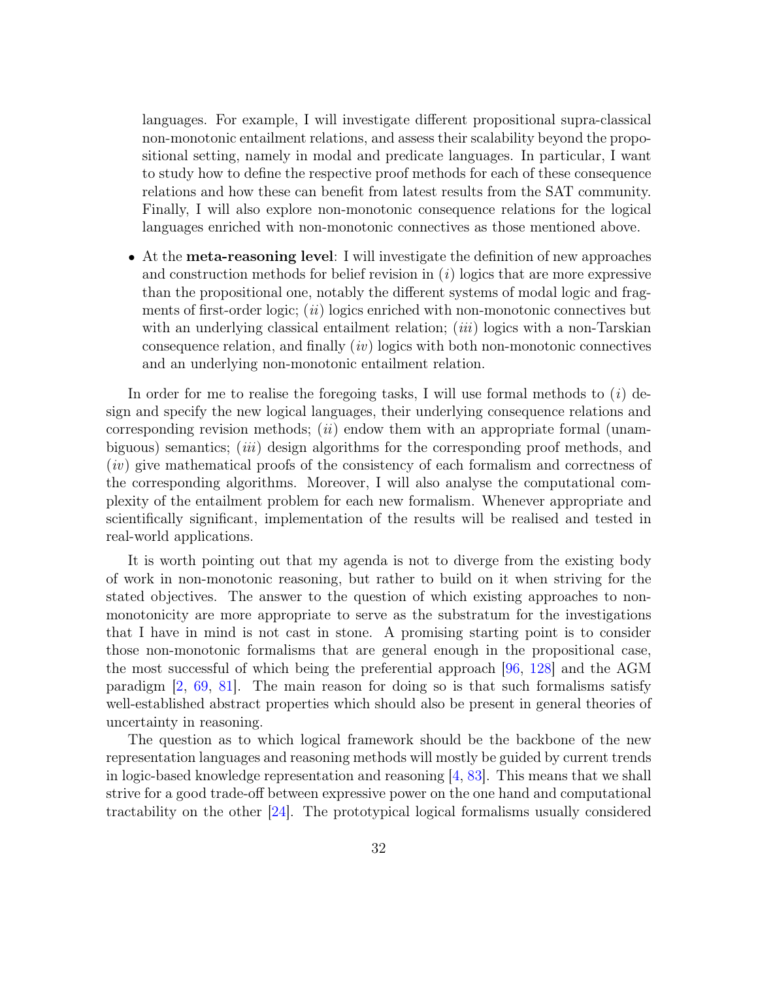languages. For example, I will investigate different propositional supra-classical non-monotonic entailment relations, and assess their scalability beyond the propositional setting, namely in modal and predicate languages. In particular, I want to study how to define the respective proof methods for each of these consequence relations and how these can benefit from latest results from the SAT community. Finally, I will also explore non-monotonic consequence relations for the logical languages enriched with non-monotonic connectives as those mentioned above.

• At the meta-reasoning level: I will investigate the definition of new approaches and construction methods for belief revision in  $(i)$  logics that are more expressive than the propositional one, notably the different systems of modal logic and fragments of first-order logic;  $(ii)$  logics enriched with non-monotonic connectives but with an underlying classical entailment relation; *(iii)* logics with a non-Tarskian consequence relation, and finally  $(iv)$  logics with both non-monotonic connectives and an underlying non-monotonic entailment relation.

In order for me to realise the foregoing tasks, I will use formal methods to  $(i)$  design and specify the new logical languages, their underlying consequence relations and corresponding revision methods; (*ii*) endow them with an appropriate formal (unambiguous) semantics; *(iii)* design algorithms for the corresponding proof methods, and (iv) give mathematical proofs of the consistency of each formalism and correctness of the corresponding algorithms. Moreover, I will also analyse the computational complexity of the entailment problem for each new formalism. Whenever appropriate and scientifically significant, implementation of the results will be realised and tested in real-world applications.

It is worth pointing out that my agenda is not to diverge from the existing body of work in non-monotonic reasoning, but rather to build on it when striving for the stated objectives. The answer to the question of which existing approaches to nonmonotonicity are more appropriate to serve as the substratum for the investigations that I have in mind is not cast in stone. A promising starting point is to consider those non-monotonic formalisms that are general enough in the propositional case, the most successful of which being the preferential approach [96, 128] and the AGM paradigm [2, 69, 81]. The main reason for doing so is that such formalisms satisfy well-established abstract properties which should also be present in general theories of uncertainty in reasoning.

The question as to which logical framework should be the backbone of the new representation languages and reasoning methods will mostly be guided by current trends in logic-based knowledge representation and reasoning [4, 83]. This means that we shall strive for a good trade-off between expressive power on the one hand and computational tractability on the other [24]. The prototypical logical formalisms usually considered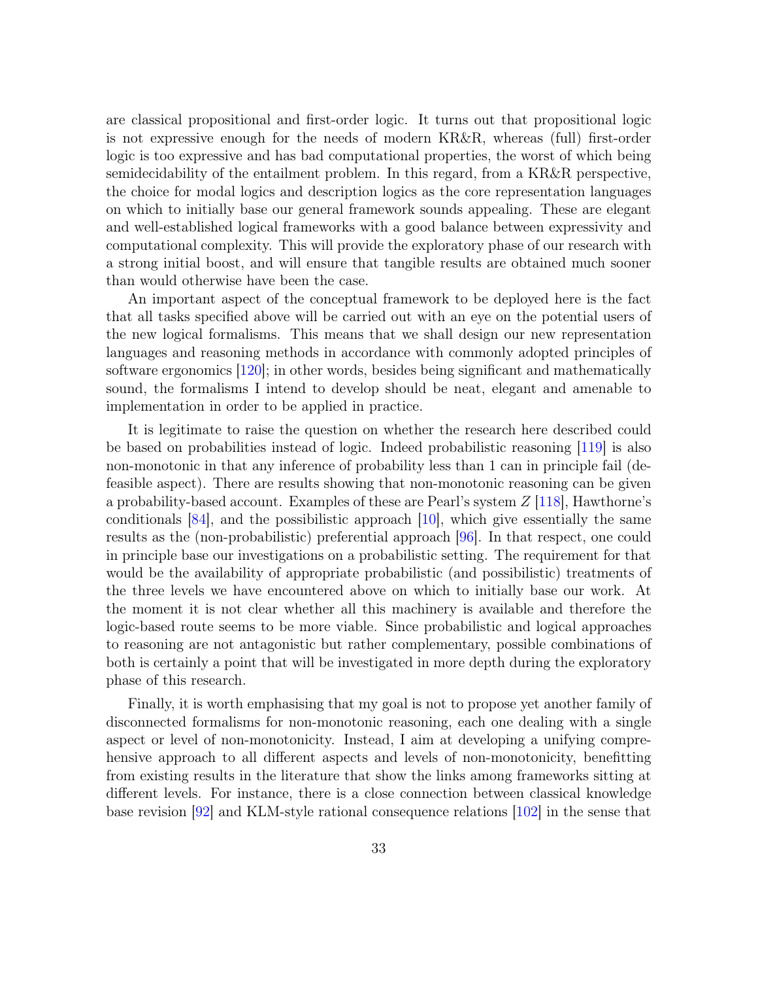are classical propositional and first-order logic. It turns out that propositional logic is not expressive enough for the needs of modern KR&R, whereas (full) first-order logic is too expressive and has bad computational properties, the worst of which being semidecidability of the entailment problem. In this regard, from a KR&R perspective, the choice for modal logics and description logics as the core representation languages on which to initially base our general framework sounds appealing. These are elegant and well-established logical frameworks with a good balance between expressivity and computational complexity. This will provide the exploratory phase of our research with a strong initial boost, and will ensure that tangible results are obtained much sooner than would otherwise have been the case.

An important aspect of the conceptual framework to be deployed here is the fact that all tasks specified above will be carried out with an eye on the potential users of the new logical formalisms. This means that we shall design our new representation languages and reasoning methods in accordance with commonly adopted principles of software ergonomics [120]; in other words, besides being significant and mathematically sound, the formalisms I intend to develop should be neat, elegant and amenable to implementation in order to be applied in practice.

It is legitimate to raise the question on whether the research here described could be based on probabilities instead of logic. Indeed probabilistic reasoning [119] is also non-monotonic in that any inference of probability less than 1 can in principle fail (defeasible aspect). There are results showing that non-monotonic reasoning can be given a probability-based account. Examples of these are Pearl's system  $Z$  [118], Hawthorne's conditionals  $[84]$ , and the possibilistic approach  $[10]$ , which give essentially the same results as the (non-probabilistic) preferential approach [96]. In that respect, one could in principle base our investigations on a probabilistic setting. The requirement for that would be the availability of appropriate probabilistic (and possibilistic) treatments of the three levels we have encountered above on which to initially base our work. At the moment it is not clear whether all this machinery is available and therefore the logic-based route seems to be more viable. Since probabilistic and logical approaches to reasoning are not antagonistic but rather complementary, possible combinations of both is certainly a point that will be investigated in more depth during the exploratory phase of this research.

Finally, it is worth emphasising that my goal is not to propose yet another family of disconnected formalisms for non-monotonic reasoning, each one dealing with a single aspect or level of non-monotonicity. Instead, I aim at developing a unifying comprehensive approach to all different aspects and levels of non-monotonicity, benefitting from existing results in the literature that show the links among frameworks sitting at different levels. For instance, there is a close connection between classical knowledge base revision [92] and KLM-style rational consequence relations [102] in the sense that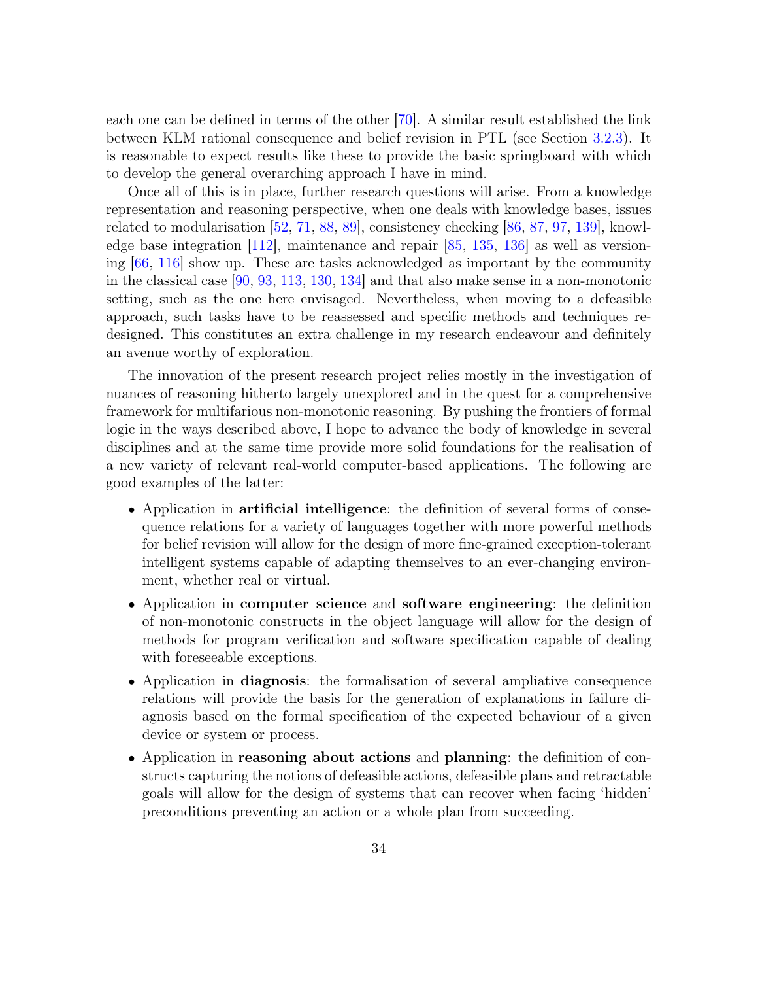each one can be defined in terms of the other [70]. A similar result established the link between KLM rational consequence and belief revision in PTL (see Section 3.2.3). It is reasonable to expect results like these to provide the basic springboard with which to develop the general overarching approach I have in mind.

Once all of this is in place, further research questions will arise. From a knowledge representation and reasoning perspective, when one deals with knowledge bases, issues related to modularisation [52, 71, 88, 89], consistency checking [86, 87, 97, 139], knowledge base integration [112], maintenance and repair [85, 135, 136] as well as versioning [66, 116] show up. These are tasks acknowledged as important by the community in the classical case [90, 93, 113, 130, 134] and that also make sense in a non-monotonic setting, such as the one here envisaged. Nevertheless, when moving to a defeasible approach, such tasks have to be reassessed and specific methods and techniques redesigned. This constitutes an extra challenge in my research endeavour and definitely an avenue worthy of exploration.

The innovation of the present research project relies mostly in the investigation of nuances of reasoning hitherto largely unexplored and in the quest for a comprehensive framework for multifarious non-monotonic reasoning. By pushing the frontiers of formal logic in the ways described above, I hope to advance the body of knowledge in several disciplines and at the same time provide more solid foundations for the realisation of a new variety of relevant real-world computer-based applications. The following are good examples of the latter:

- Application in **artificial intelligence**: the definition of several forms of consequence relations for a variety of languages together with more powerful methods for belief revision will allow for the design of more fine-grained exception-tolerant intelligent systems capable of adapting themselves to an ever-changing environment, whether real or virtual.
- Application in computer science and software engineering: the definition of non-monotonic constructs in the object language will allow for the design of methods for program verification and software specification capable of dealing with foreseeable exceptions.
- Application in diagnosis: the formalisation of several ampliative consequence relations will provide the basis for the generation of explanations in failure diagnosis based on the formal specification of the expected behaviour of a given device or system or process.
- Application in reasoning about actions and planning: the definition of constructs capturing the notions of defeasible actions, defeasible plans and retractable goals will allow for the design of systems that can recover when facing 'hidden' preconditions preventing an action or a whole plan from succeeding.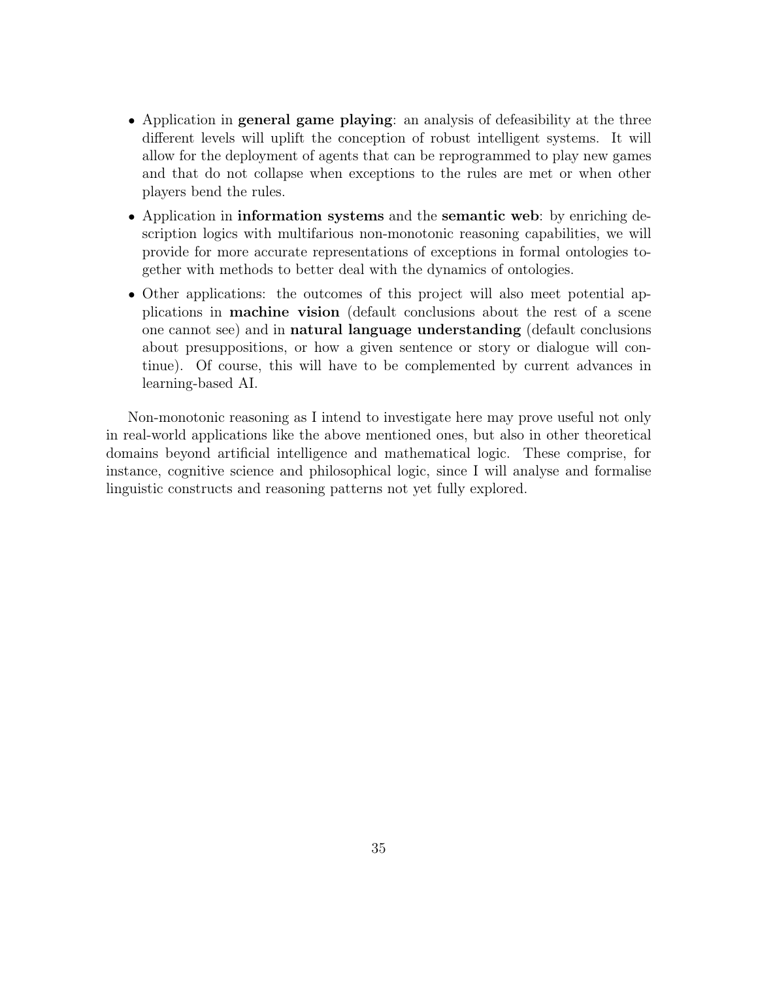- Application in **general game playing**: an analysis of defeasibility at the three different levels will uplift the conception of robust intelligent systems. It will allow for the deployment of agents that can be reprogrammed to play new games and that do not collapse when exceptions to the rules are met or when other players bend the rules.
- Application in **information** systems and the semantic web: by enriching description logics with multifarious non-monotonic reasoning capabilities, we will provide for more accurate representations of exceptions in formal ontologies together with methods to better deal with the dynamics of ontologies.
- Other applications: the outcomes of this project will also meet potential applications in machine vision (default conclusions about the rest of a scene one cannot see) and in natural language understanding (default conclusions about presuppositions, or how a given sentence or story or dialogue will continue). Of course, this will have to be complemented by current advances in learning-based AI.

Non-monotonic reasoning as I intend to investigate here may prove useful not only in real-world applications like the above mentioned ones, but also in other theoretical domains beyond artificial intelligence and mathematical logic. These comprise, for instance, cognitive science and philosophical logic, since I will analyse and formalise linguistic constructs and reasoning patterns not yet fully explored.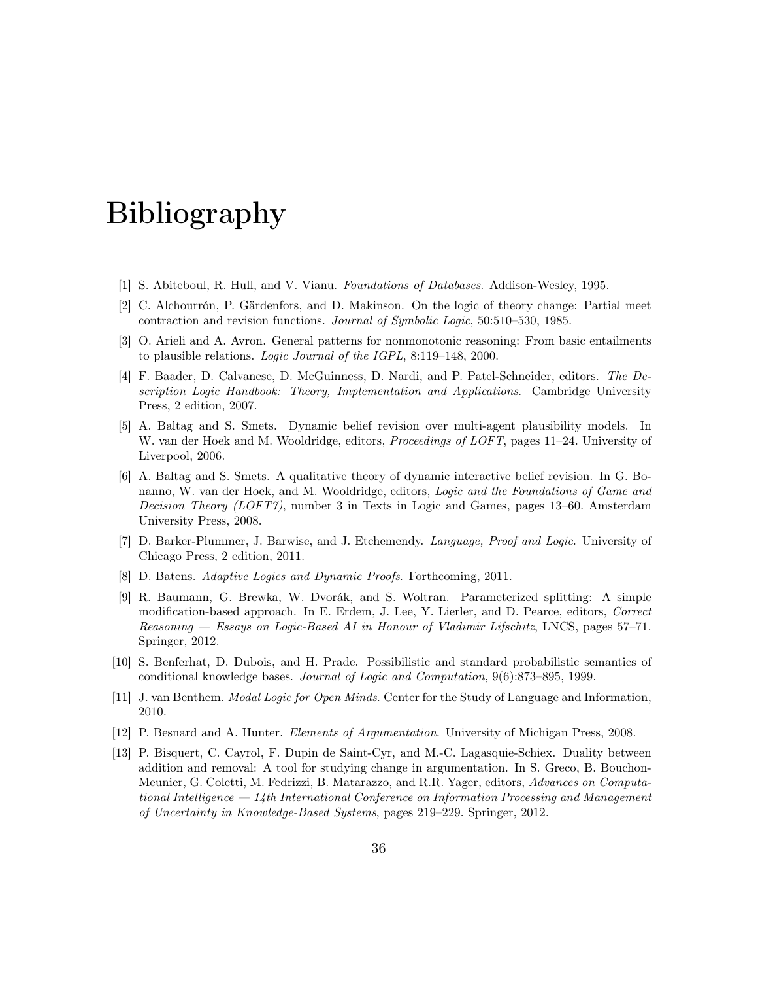## Bibliography

- [1] S. Abiteboul, R. Hull, and V. Vianu. Foundations of Databases. Addison-Wesley, 1995.
- [2] C. Alchourrón, P. Gärdenfors, and D. Makinson. On the logic of theory change: Partial meet contraction and revision functions. Journal of Symbolic Logic, 50:510–530, 1985.
- [3] O. Arieli and A. Avron. General patterns for nonmonotonic reasoning: From basic entailments to plausible relations. Logic Journal of the IGPL, 8:119–148, 2000.
- [4] F. Baader, D. Calvanese, D. McGuinness, D. Nardi, and P. Patel-Schneider, editors. The Description Logic Handbook: Theory, Implementation and Applications. Cambridge University Press, 2 edition, 2007.
- [5] A. Baltag and S. Smets. Dynamic belief revision over multi-agent plausibility models. In W. van der Hoek and M. Wooldridge, editors, *Proceedings of LOFT*, pages 11–24. University of Liverpool, 2006.
- [6] A. Baltag and S. Smets. A qualitative theory of dynamic interactive belief revision. In G. Bonanno, W. van der Hoek, and M. Wooldridge, editors, Logic and the Foundations of Game and Decision Theory (LOFT7), number 3 in Texts in Logic and Games, pages 13–60. Amsterdam University Press, 2008.
- [7] D. Barker-Plummer, J. Barwise, and J. Etchemendy. Language, Proof and Logic. University of Chicago Press, 2 edition, 2011.
- [8] D. Batens. Adaptive Logics and Dynamic Proofs. Forthcoming, 2011.
- [9] R. Baumann, G. Brewka, W. Dvorák, and S. Woltran. Parameterized splitting: A simple modification-based approach. In E. Erdem, J. Lee, Y. Lierler, and D. Pearce, editors, Correct Reasoning — Essays on Logic-Based AI in Honour of Vladimir Lifschitz, LNCS, pages 57–71. Springer, 2012.
- [10] S. Benferhat, D. Dubois, and H. Prade. Possibilistic and standard probabilistic semantics of conditional knowledge bases. Journal of Logic and Computation, 9(6):873–895, 1999.
- [11] J. van Benthem. Modal Logic for Open Minds. Center for the Study of Language and Information, 2010.
- [12] P. Besnard and A. Hunter. Elements of Argumentation. University of Michigan Press, 2008.
- [13] P. Bisquert, C. Cayrol, F. Dupin de Saint-Cyr, and M.-C. Lagasquie-Schiex. Duality between addition and removal: A tool for studying change in argumentation. In S. Greco, B. Bouchon-Meunier, G. Coletti, M. Fedrizzi, B. Matarazzo, and R.R. Yager, editors, Advances on Computational Intelligence — 14th International Conference on Information Processing and Management of Uncertainty in Knowledge-Based Systems, pages 219–229. Springer, 2012.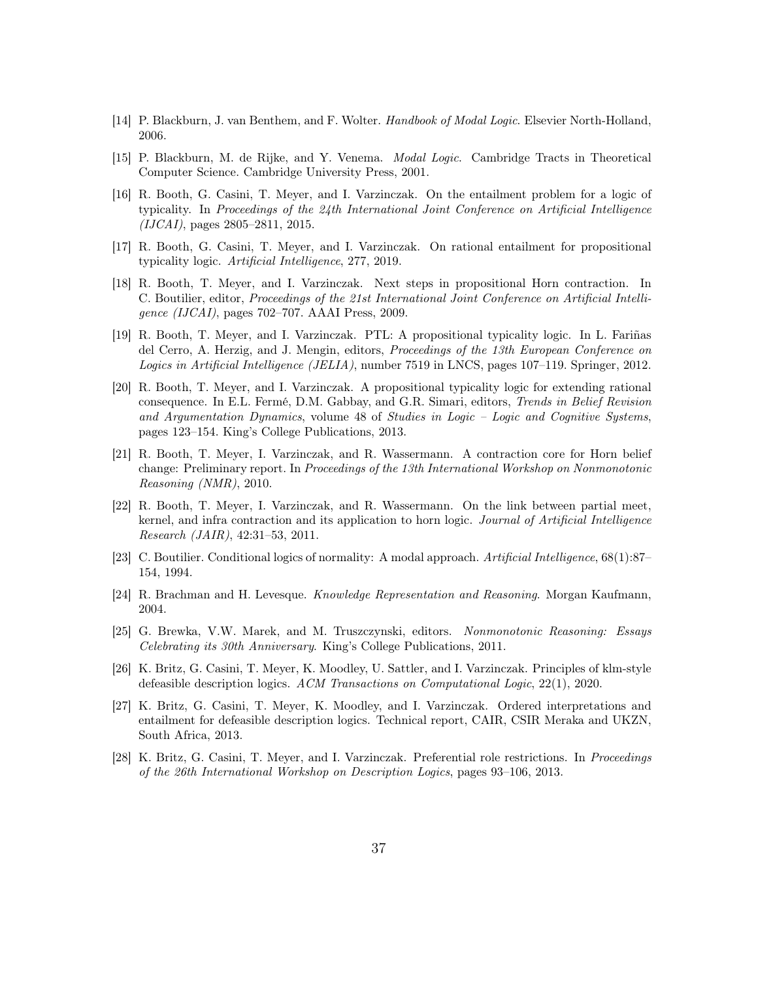- [14] P. Blackburn, J. van Benthem, and F. Wolter. Handbook of Modal Logic. Elsevier North-Holland, 2006.
- [15] P. Blackburn, M. de Rijke, and Y. Venema. Modal Logic. Cambridge Tracts in Theoretical Computer Science. Cambridge University Press, 2001.
- [16] R. Booth, G. Casini, T. Meyer, and I. Varzinczak. On the entailment problem for a logic of typicality. In Proceedings of the 24th International Joint Conference on Artificial Intelligence (IJCAI), pages 2805–2811, 2015.
- [17] R. Booth, G. Casini, T. Meyer, and I. Varzinczak. On rational entailment for propositional typicality logic. Artificial Intelligence, 277, 2019.
- [18] R. Booth, T. Meyer, and I. Varzinczak. Next steps in propositional Horn contraction. In C. Boutilier, editor, Proceedings of the 21st International Joint Conference on Artificial Intelligence (IJCAI), pages 702–707. AAAI Press, 2009.
- [19] R. Booth, T. Meyer, and I. Varzinczak. PTL: A propositional typicality logic. In L. Fariñas del Cerro, A. Herzig, and J. Mengin, editors, *Proceedings of the 13th European Conference on* Logics in Artificial Intelligence (JELIA), number 7519 in LNCS, pages 107–119. Springer, 2012.
- [20] R. Booth, T. Meyer, and I. Varzinczak. A propositional typicality logic for extending rational consequence. In E.L. Fermé, D.M. Gabbay, and G.R. Simari, editors, Trends in Belief Revision and Argumentation Dynamics, volume 48 of Studies in Logic – Logic and Cognitive Systems, pages 123–154. King's College Publications, 2013.
- [21] R. Booth, T. Meyer, I. Varzinczak, and R. Wassermann. A contraction core for Horn belief change: Preliminary report. In Proceedings of the 13th International Workshop on Nonmonotonic Reasoning (NMR), 2010.
- [22] R. Booth, T. Meyer, I. Varzinczak, and R. Wassermann. On the link between partial meet, kernel, and infra contraction and its application to horn logic. Journal of Artificial Intelligence Research (JAIR), 42:31–53, 2011.
- [23] C. Boutilier. Conditional logics of normality: A modal approach. Artificial Intelligence, 68(1):87– 154, 1994.
- [24] R. Brachman and H. Levesque. Knowledge Representation and Reasoning. Morgan Kaufmann, 2004.
- [25] G. Brewka, V.W. Marek, and M. Truszczynski, editors. Nonmonotonic Reasoning: Essays Celebrating its 30th Anniversary. King's College Publications, 2011.
- [26] K. Britz, G. Casini, T. Meyer, K. Moodley, U. Sattler, and I. Varzinczak. Principles of klm-style defeasible description logics. ACM Transactions on Computational Logic, 22(1), 2020.
- [27] K. Britz, G. Casini, T. Meyer, K. Moodley, and I. Varzinczak. Ordered interpretations and entailment for defeasible description logics. Technical report, CAIR, CSIR Meraka and UKZN, South Africa, 2013.
- [28] K. Britz, G. Casini, T. Meyer, and I. Varzinczak. Preferential role restrictions. In Proceedings of the 26th International Workshop on Description Logics, pages 93–106, 2013.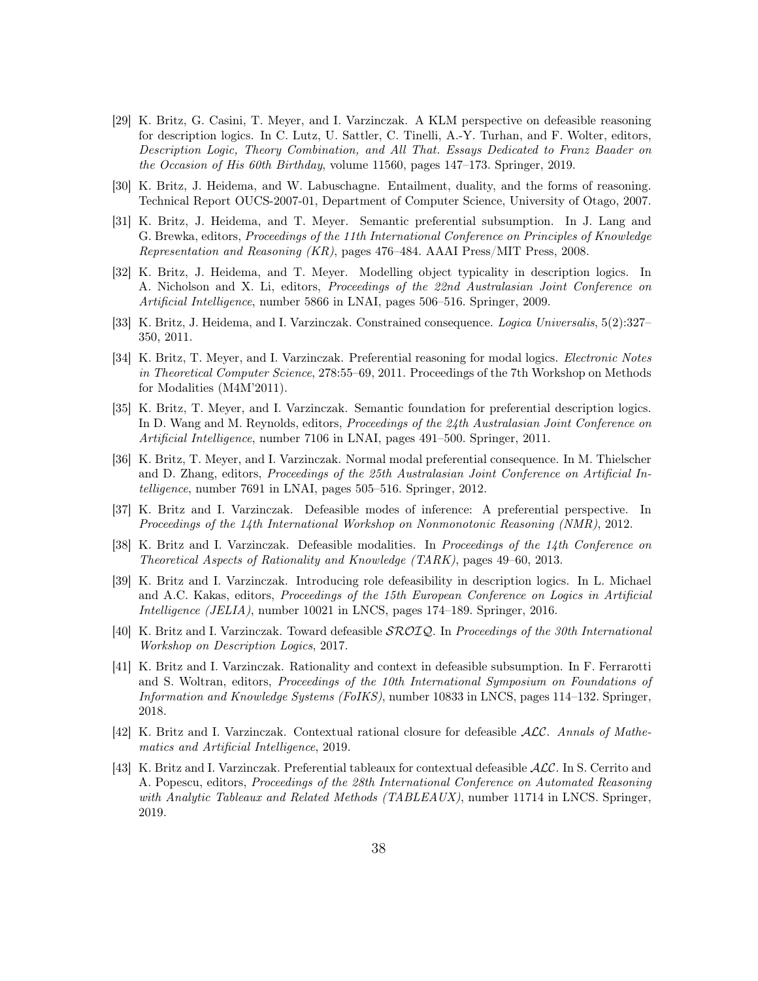- [29] K. Britz, G. Casini, T. Meyer, and I. Varzinczak. A KLM perspective on defeasible reasoning for description logics. In C. Lutz, U. Sattler, C. Tinelli, A.-Y. Turhan, and F. Wolter, editors, Description Logic, Theory Combination, and All That. Essays Dedicated to Franz Baader on the Occasion of His 60th Birthday, volume 11560, pages 147–173. Springer, 2019.
- [30] K. Britz, J. Heidema, and W. Labuschagne. Entailment, duality, and the forms of reasoning. Technical Report OUCS-2007-01, Department of Computer Science, University of Otago, 2007.
- [31] K. Britz, J. Heidema, and T. Meyer. Semantic preferential subsumption. In J. Lang and G. Brewka, editors, Proceedings of the 11th International Conference on Principles of Knowledge Representation and Reasoning (KR), pages 476–484. AAAI Press/MIT Press, 2008.
- [32] K. Britz, J. Heidema, and T. Meyer. Modelling object typicality in description logics. In A. Nicholson and X. Li, editors, Proceedings of the 22nd Australasian Joint Conference on Artificial Intelligence, number 5866 in LNAI, pages 506–516. Springer, 2009.
- [33] K. Britz, J. Heidema, and I. Varzinczak. Constrained consequence. Logica Universalis, 5(2):327– 350, 2011.
- [34] K. Britz, T. Meyer, and I. Varzinczak. Preferential reasoning for modal logics. *Electronic Notes* in Theoretical Computer Science, 278:55–69, 2011. Proceedings of the 7th Workshop on Methods for Modalities (M4M'2011).
- [35] K. Britz, T. Meyer, and I. Varzinczak. Semantic foundation for preferential description logics. In D. Wang and M. Reynolds, editors, *Proceedings of the 24th Australasian Joint Conference on* Artificial Intelligence, number 7106 in LNAI, pages 491–500. Springer, 2011.
- [36] K. Britz, T. Meyer, and I. Varzinczak. Normal modal preferential consequence. In M. Thielscher and D. Zhang, editors, Proceedings of the 25th Australasian Joint Conference on Artificial Intelligence, number 7691 in LNAI, pages 505–516. Springer, 2012.
- [37] K. Britz and I. Varzinczak. Defeasible modes of inference: A preferential perspective. In Proceedings of the 14th International Workshop on Nonmonotonic Reasoning (NMR), 2012.
- [38] K. Britz and I. Varzinczak. Defeasible modalities. In Proceedings of the 14th Conference on Theoretical Aspects of Rationality and Knowledge (TARK), pages 49–60, 2013.
- [39] K. Britz and I. Varzinczak. Introducing role defeasibility in description logics. In L. Michael and A.C. Kakas, editors, Proceedings of the 15th European Conference on Logics in Artificial Intelligence (JELIA), number 10021 in LNCS, pages 174–189. Springer, 2016.
- [40] K. Britz and I. Varzinczak. Toward defeasible  $\mathcal{SROLQ}$ . In Proceedings of the 30th International Workshop on Description Logics, 2017.
- [41] K. Britz and I. Varzinczak. Rationality and context in defeasible subsumption. In F. Ferrarotti and S. Woltran, editors, Proceedings of the 10th International Symposium on Foundations of Information and Knowledge Systems (FoIKS), number 10833 in LNCS, pages 114–132. Springer, 2018.
- [42] K. Britz and I. Varzinczak. Contextual rational closure for defeasible ALC. Annals of Mathematics and Artificial Intelligence, 2019.
- [43] K. Britz and I. Varzinczak. Preferential tableaux for contextual defeasible ALC. In S. Cerrito and A. Popescu, editors, Proceedings of the 28th International Conference on Automated Reasoning with Analytic Tableaux and Related Methods (TABLEAUX), number 11714 in LNCS. Springer, 2019.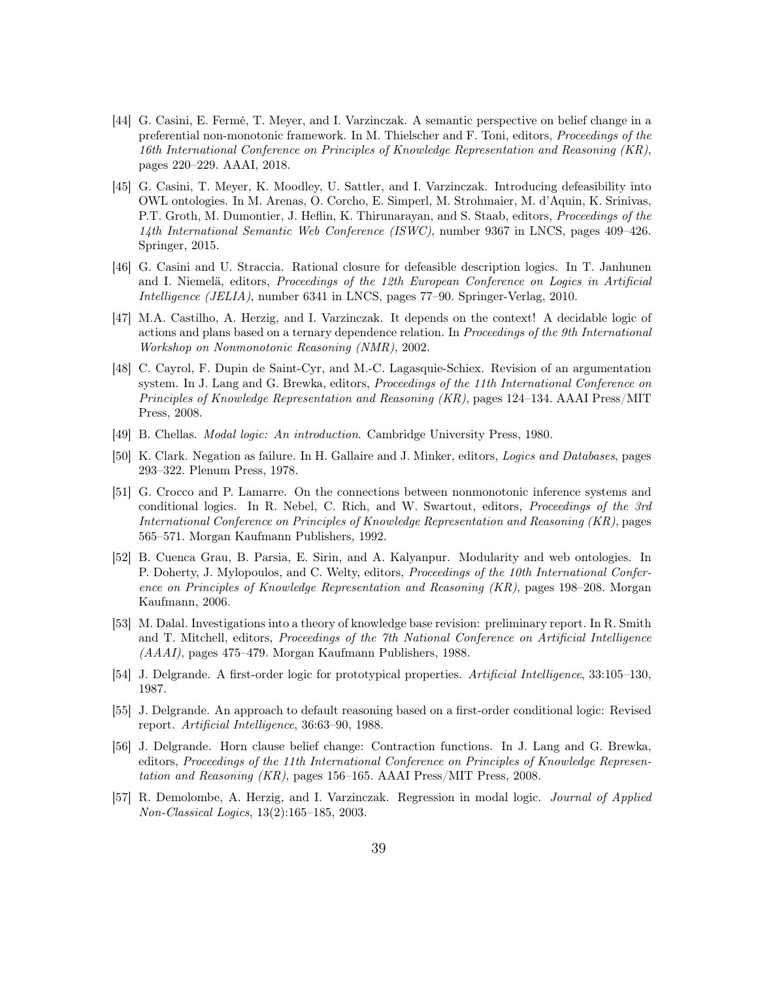- [44] G. Casini, E. Fermé, T. Meyer, and I. Varzinczak. A semantic perspective on belief change in a preferential non-monotonic framework. In M. Thielscher and F. Toni, editors, *Proceedings of the* 16th International Conference on Principles of Knowledge Representation and Reasoning (KR), pages 220–229. AAAI, 2018.
- [45] G. Casini, T. Meyer, K. Moodley, U. Sattler, and I. Varzinczak. Introducing defeasibility into OWL ontologies. In M. Arenas, O. Corcho, E. Simperl, M. Strohmaier, M. d'Aquin, K. Srinivas, P.T. Groth, M. Dumontier, J. Heflin, K. Thirunarayan, and S. Staab, editors, *Proceedings of the* 14th International Semantic Web Conference (ISWC), number 9367 in LNCS, pages 409–426. Springer, 2015.
- [46] G. Casini and U. Straccia. Rational closure for defeasible description logics. In T. Janhunen and I. Niemelä, editors, Proceedings of the 12th European Conference on Logics in Artificial Intelligence (JELIA), number 6341 in LNCS, pages 77–90. Springer-Verlag, 2010.
- [47] M.A. Castilho, A. Herzig, and I. Varzinczak. It depends on the context! A decidable logic of actions and plans based on a ternary dependence relation. In Proceedings of the 9th International Workshop on Nonmonotonic Reasoning (NMR), 2002.
- [48] C. Cayrol, F. Dupin de Saint-Cyr, and M.-C. Lagasquie-Schiex. Revision of an argumentation system. In J. Lang and G. Brewka, editors, *Proceedings of the 11th International Conference on* Principles of Knowledge Representation and Reasoning (KR), pages 124–134. AAAI Press/MIT Press, 2008.
- [49] B. Chellas. Modal logic: An introduction. Cambridge University Press, 1980.
- [50] K. Clark. Negation as failure. In H. Gallaire and J. Minker, editors, Logics and Databases, pages 293–322. Plenum Press, 1978.
- [51] G. Crocco and P. Lamarre. On the connections between nonmonotonic inference systems and conditional logics. In R. Nebel, C. Rich, and W. Swartout, editors, Proceedings of the 3rd International Conference on Principles of Knowledge Representation and Reasoning (KR), pages 565–571. Morgan Kaufmann Publishers, 1992.
- [52] B. Cuenca Grau, B. Parsia, E. Sirin, and A. Kalyanpur. Modularity and web ontologies. In P. Doherty, J. Mylopoulos, and C. Welty, editors, Proceedings of the 10th International Conference on Principles of Knowledge Representation and Reasoning (KR), pages 198–208. Morgan Kaufmann, 2006.
- [53] M. Dalal. Investigations into a theory of knowledge base revision: preliminary report. In R. Smith and T. Mitchell, editors, Proceedings of the 7th National Conference on Artificial Intelligence (AAAI), pages 475–479. Morgan Kaufmann Publishers, 1988.
- [54] J. Delgrande. A first-order logic for prototypical properties. Artificial Intelligence, 33:105–130, 1987.
- [55] J. Delgrande. An approach to default reasoning based on a first-order conditional logic: Revised report. Artificial Intelligence, 36:63–90, 1988.
- [56] J. Delgrande. Horn clause belief change: Contraction functions. In J. Lang and G. Brewka, editors, Proceedings of the 11th International Conference on Principles of Knowledge Representation and Reasoning (KR), pages 156–165. AAAI Press/MIT Press, 2008.
- [57] R. Demolombe, A. Herzig, and I. Varzinczak. Regression in modal logic. *Journal of Applied* Non-Classical Logics, 13(2):165–185, 2003.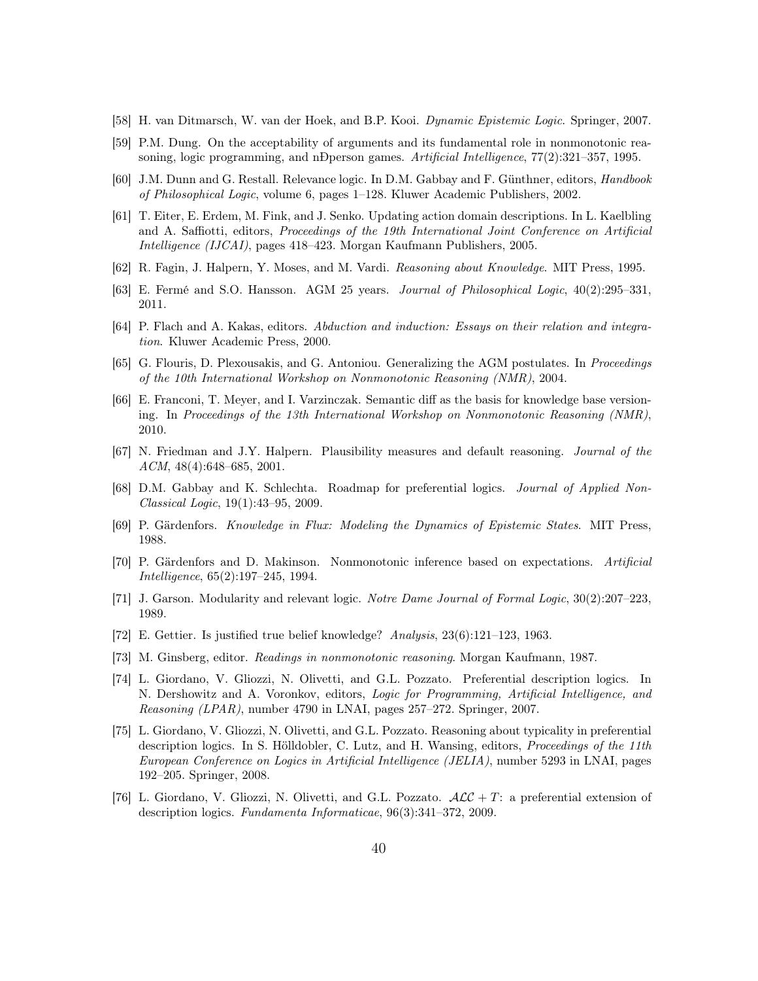- [58] H. van Ditmarsch, W. van der Hoek, and B.P. Kooi. Dynamic Epistemic Logic. Springer, 2007.
- [59] P.M. Dung. On the acceptability of arguments and its fundamental role in nonmonotonic reasoning, logic programming, and nÐperson games. Artificial Intelligence, 77(2):321–357, 1995.
- [60] J.M. Dunn and G. Restall. Relevance logic. In D.M. Gabbay and F. Günthner, editors, Handbook of Philosophical Logic, volume 6, pages 1–128. Kluwer Academic Publishers, 2002.
- [61] T. Eiter, E. Erdem, M. Fink, and J. Senko. Updating action domain descriptions. In L. Kaelbling and A. Saffiotti, editors, Proceedings of the 19th International Joint Conference on Artificial Intelligence (IJCAI), pages 418–423. Morgan Kaufmann Publishers, 2005.
- [62] R. Fagin, J. Halpern, Y. Moses, and M. Vardi. Reasoning about Knowledge. MIT Press, 1995.
- [63] E. Fermé and S.O. Hansson. AGM 25 years. Journal of Philosophical Logic, 40(2):295–331, 2011.
- [64] P. Flach and A. Kakas, editors. Abduction and induction: Essays on their relation and integration. Kluwer Academic Press, 2000.
- [65] G. Flouris, D. Plexousakis, and G. Antoniou. Generalizing the AGM postulates. In Proceedings of the 10th International Workshop on Nonmonotonic Reasoning (NMR), 2004.
- [66] E. Franconi, T. Meyer, and I. Varzinczak. Semantic diff as the basis for knowledge base versioning. In Proceedings of the 13th International Workshop on Nonmonotonic Reasoning (NMR), 2010.
- [67] N. Friedman and J.Y. Halpern. Plausibility measures and default reasoning. Journal of the ACM, 48(4):648–685, 2001.
- [68] D.M. Gabbay and K. Schlechta. Roadmap for preferential logics. Journal of Applied Non-Classical Logic, 19(1):43–95, 2009.
- [69] P. Gärdenfors. Knowledge in Flux: Modeling the Dynamics of Epistemic States. MIT Press, 1988.
- [70] P. Gärdenfors and D. Makinson. Nonmonotonic inference based on expectations. Artificial Intelligence, 65(2):197–245, 1994.
- [71] J. Garson. Modularity and relevant logic. Notre Dame Journal of Formal Logic, 30(2):207–223, 1989.
- [72] E. Gettier. Is justified true belief knowledge? Analysis, 23(6):121–123, 1963.
- [73] M. Ginsberg, editor. Readings in nonmonotonic reasoning. Morgan Kaufmann, 1987.
- [74] L. Giordano, V. Gliozzi, N. Olivetti, and G.L. Pozzato. Preferential description logics. In N. Dershowitz and A. Voronkov, editors, Logic for Programming, Artificial Intelligence, and Reasoning (LPAR), number 4790 in LNAI, pages 257–272. Springer, 2007.
- [75] L. Giordano, V. Gliozzi, N. Olivetti, and G.L. Pozzato. Reasoning about typicality in preferential description logics. In S. Hölldobler, C. Lutz, and H. Wansing, editors, Proceedings of the 11th European Conference on Logics in Artificial Intelligence (JELIA), number 5293 in LNAI, pages 192–205. Springer, 2008.
- [76] L. Giordano, V. Gliozzi, N. Olivetti, and G.L. Pozzato.  $\mathcal{ALC} + T$ : a preferential extension of description logics. Fundamenta Informaticae, 96(3):341–372, 2009.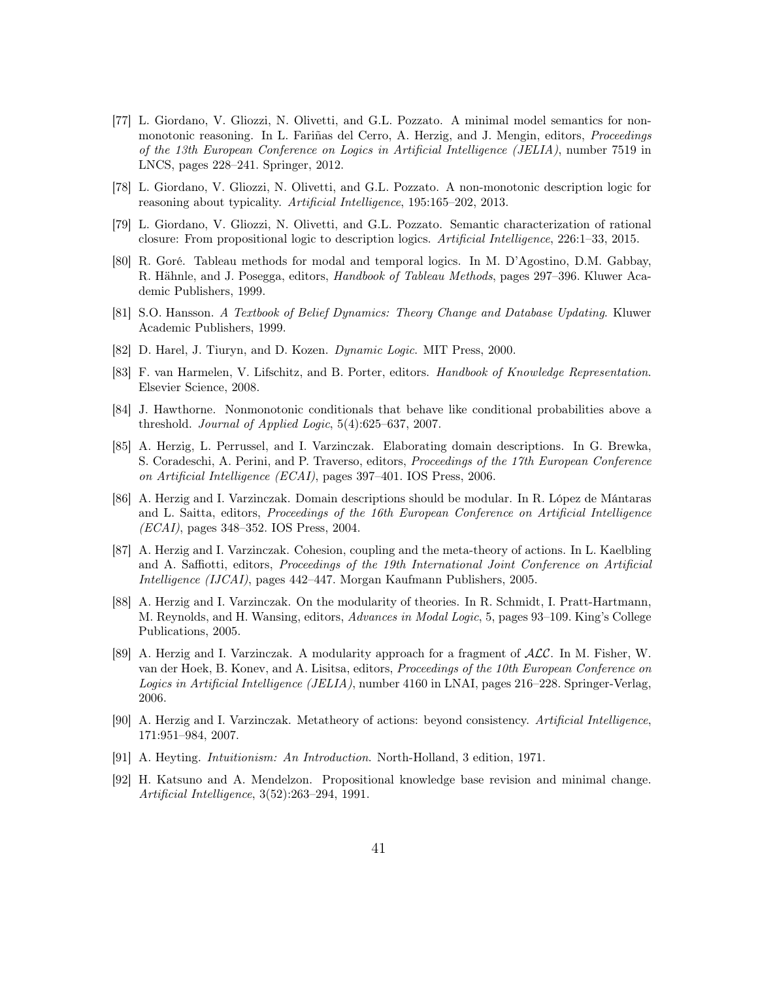- [77] L. Giordano, V. Gliozzi, N. Olivetti, and G.L. Pozzato. A minimal model semantics for nonmonotonic reasoning. In L. Fariñas del Cerro, A. Herzig, and J. Mengin, editors, Proceedings of the 13th European Conference on Logics in Artificial Intelligence (JELIA), number 7519 in LNCS, pages 228–241. Springer, 2012.
- [78] L. Giordano, V. Gliozzi, N. Olivetti, and G.L. Pozzato. A non-monotonic description logic for reasoning about typicality. Artificial Intelligence, 195:165–202, 2013.
- [79] L. Giordano, V. Gliozzi, N. Olivetti, and G.L. Pozzato. Semantic characterization of rational closure: From propositional logic to description logics. Artificial Intelligence, 226:1–33, 2015.
- [80] R. Goré. Tableau methods for modal and temporal logics. In M. D'Agostino, D.M. Gabbay, R. Hähnle, and J. Posegga, editors, Handbook of Tableau Methods, pages 297–396. Kluwer Academic Publishers, 1999.
- [81] S.O. Hansson. A Textbook of Belief Dynamics: Theory Change and Database Updating. Kluwer Academic Publishers, 1999.
- [82] D. Harel, J. Tiuryn, and D. Kozen. Dynamic Logic. MIT Press, 2000.
- [83] F. van Harmelen, V. Lifschitz, and B. Porter, editors. Handbook of Knowledge Representation. Elsevier Science, 2008.
- [84] J. Hawthorne. Nonmonotonic conditionals that behave like conditional probabilities above a threshold. Journal of Applied Logic,  $5(4):625-637$ ,  $2007$ .
- [85] A. Herzig, L. Perrussel, and I. Varzinczak. Elaborating domain descriptions. In G. Brewka, S. Coradeschi, A. Perini, and P. Traverso, editors, Proceedings of the 17th European Conference on Artificial Intelligence (ECAI), pages 397–401. IOS Press, 2006.
- [86] A. Herzig and I. Varzinczak. Domain descriptions should be modular. In R. López de Mántaras and L. Saitta, editors, Proceedings of the 16th European Conference on Artificial Intelligence (ECAI), pages 348–352. IOS Press, 2004.
- [87] A. Herzig and I. Varzinczak. Cohesion, coupling and the meta-theory of actions. In L. Kaelbling and A. Saffiotti, editors, Proceedings of the 19th International Joint Conference on Artificial Intelligence (IJCAI), pages 442–447. Morgan Kaufmann Publishers, 2005.
- [88] A. Herzig and I. Varzinczak. On the modularity of theories. In R. Schmidt, I. Pratt-Hartmann, M. Reynolds, and H. Wansing, editors, Advances in Modal Logic, 5, pages 93–109. King's College Publications, 2005.
- [89] A. Herzig and I. Varzinczak. A modularity approach for a fragment of ALC. In M. Fisher, W. van der Hoek, B. Konev, and A. Lisitsa, editors, Proceedings of the 10th European Conference on Logics in Artificial Intelligence (JELIA), number 4160 in LNAI, pages 216–228. Springer-Verlag, 2006.
- [90] A. Herzig and I. Varzinczak. Metatheory of actions: beyond consistency. Artificial Intelligence, 171:951–984, 2007.
- [91] A. Heyting. Intuitionism: An Introduction. North-Holland, 3 edition, 1971.
- [92] H. Katsuno and A. Mendelzon. Propositional knowledge base revision and minimal change. Artificial Intelligence, 3(52):263–294, 1991.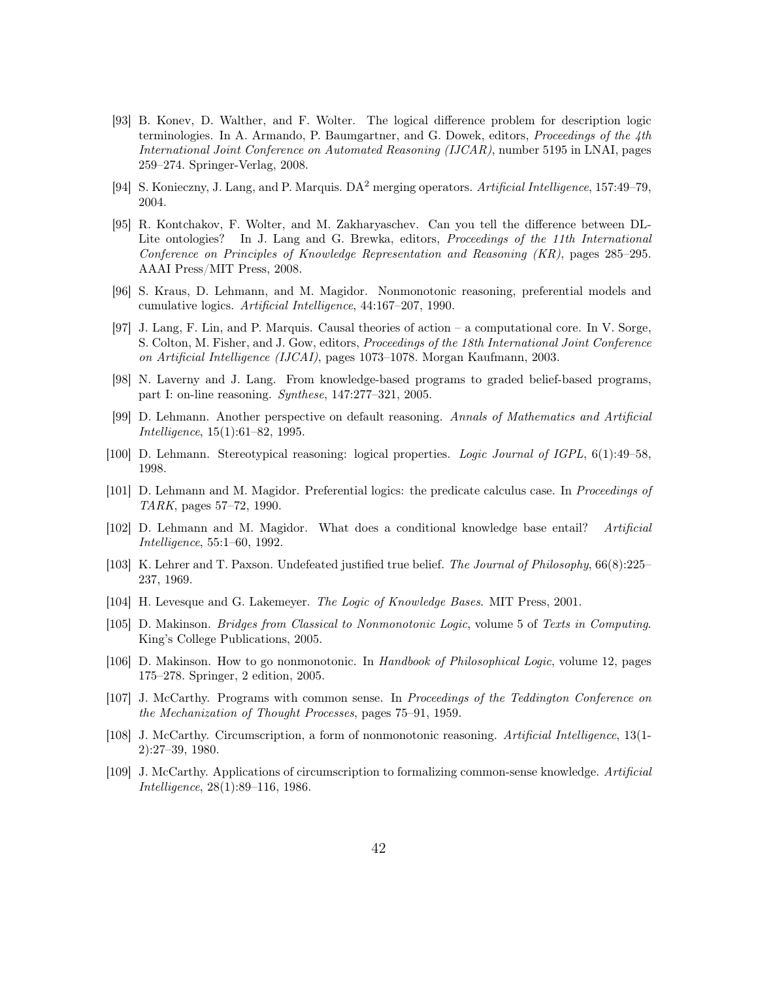- [93] B. Konev, D. Walther, and F. Wolter. The logical difference problem for description logic terminologies. In A. Armando, P. Baumgartner, and G. Dowek, editors, *Proceedings of the 4th* International Joint Conference on Automated Reasoning (IJCAR), number 5195 in LNAI, pages 259–274. Springer-Verlag, 2008.
- [94] S. Konieczny, J. Lang, and P. Marquis.  $DA^2$  merging operators. Artificial Intelligence, 157:49–79, 2004.
- [95] R. Kontchakov, F. Wolter, and M. Zakharyaschev. Can you tell the difference between DL-Lite ontologies? In J. Lang and G. Brewka, editors, *Proceedings of the 11th International* Conference on Principles of Knowledge Representation and Reasoning (KR), pages 285–295. AAAI Press/MIT Press, 2008.
- [96] S. Kraus, D. Lehmann, and M. Magidor. Nonmonotonic reasoning, preferential models and cumulative logics. Artificial Intelligence, 44:167–207, 1990.
- [97] J. Lang, F. Lin, and P. Marquis. Causal theories of action a computational core. In V. Sorge, S. Colton, M. Fisher, and J. Gow, editors, Proceedings of the 18th International Joint Conference on Artificial Intelligence (IJCAI), pages 1073–1078. Morgan Kaufmann, 2003.
- [98] N. Laverny and J. Lang. From knowledge-based programs to graded belief-based programs, part I: on-line reasoning. Synthese, 147:277–321, 2005.
- [99] D. Lehmann. Another perspective on default reasoning. Annals of Mathematics and Artificial Intelligence, 15(1):61–82, 1995.
- [100] D. Lehmann. Stereotypical reasoning: logical properties. Logic Journal of IGPL, 6(1):49–58, 1998.
- [101] D. Lehmann and M. Magidor. Preferential logics: the predicate calculus case. In Proceedings of TARK, pages 57–72, 1990.
- [102] D. Lehmann and M. Magidor. What does a conditional knowledge base entail? Artificial Intelligence, 55:1–60, 1992.
- [103] K. Lehrer and T. Paxson. Undefeated justified true belief. The Journal of Philosophy, 66(8):225– 237, 1969.
- [104] H. Levesque and G. Lakemeyer. The Logic of Knowledge Bases. MIT Press, 2001.
- [105] D. Makinson. Bridges from Classical to Nonmonotonic Logic, volume 5 of Texts in Computing. King's College Publications, 2005.
- [106] D. Makinson. How to go nonmonotonic. In Handbook of Philosophical Logic, volume 12, pages 175–278. Springer, 2 edition, 2005.
- [107] J. McCarthy. Programs with common sense. In Proceedings of the Teddington Conference on the Mechanization of Thought Processes, pages 75–91, 1959.
- [108] J. McCarthy. Circumscription, a form of nonmonotonic reasoning. Artificial Intelligence, 13(1- 2):27–39, 1980.
- [109] J. McCarthy. Applications of circumscription to formalizing common-sense knowledge. Artificial Intelligence, 28(1):89–116, 1986.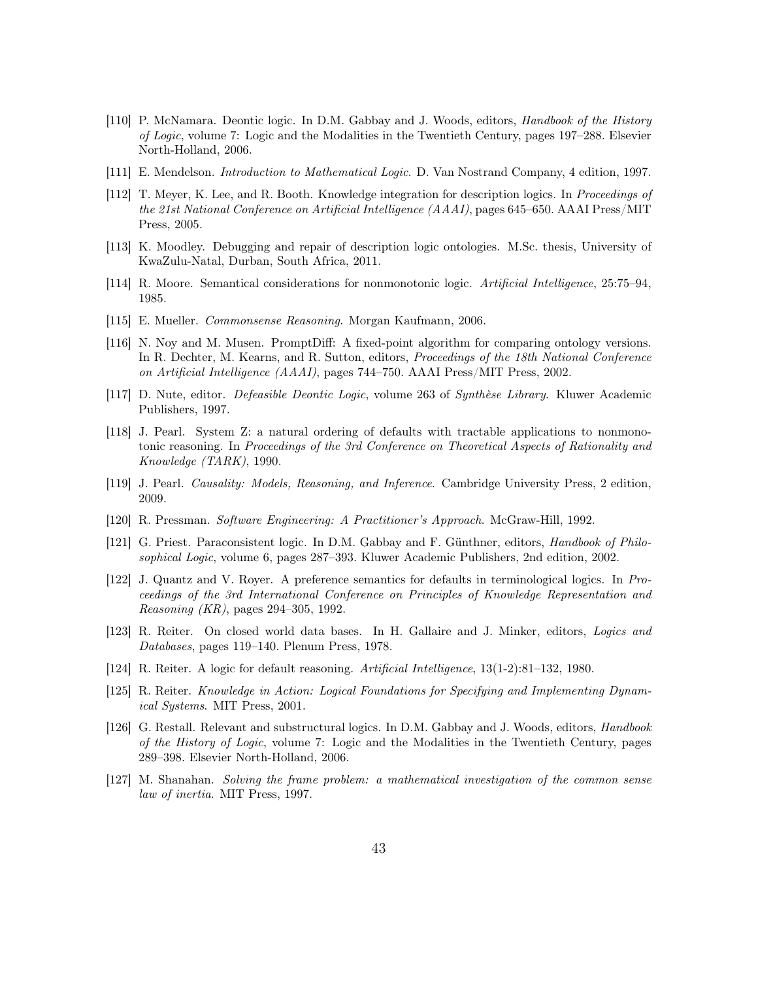- [110] P. McNamara. Deontic logic. In D.M. Gabbay and J. Woods, editors, Handbook of the History of Logic, volume 7: Logic and the Modalities in the Twentieth Century, pages 197–288. Elsevier North-Holland, 2006.
- [111] E. Mendelson. Introduction to Mathematical Logic. D. Van Nostrand Company, 4 edition, 1997.
- [112] T. Meyer, K. Lee, and R. Booth. Knowledge integration for description logics. In Proceedings of the 21st National Conference on Artificial Intelligence (AAAI), pages 645–650. AAAI Press/MIT Press, 2005.
- [113] K. Moodley. Debugging and repair of description logic ontologies. M.Sc. thesis, University of KwaZulu-Natal, Durban, South Africa, 2011.
- [114] R. Moore. Semantical considerations for nonmonotonic logic. Artificial Intelligence, 25:75–94, 1985.
- [115] E. Mueller. Commonsense Reasoning. Morgan Kaufmann, 2006.
- [116] N. Noy and M. Musen. PromptDiff: A fixed-point algorithm for comparing ontology versions. In R. Dechter, M. Kearns, and R. Sutton, editors, *Proceedings of the 18th National Conference* on Artificial Intelligence (AAAI), pages 744–750. AAAI Press/MIT Press, 2002.
- [117] D. Nute, editor. Defeasible Deontic Logic, volume 263 of Synthèse Library. Kluwer Academic Publishers, 1997.
- [118] J. Pearl. System Z: a natural ordering of defaults with tractable applications to nonmonotonic reasoning. In Proceedings of the 3rd Conference on Theoretical Aspects of Rationality and Knowledge (TARK), 1990.
- [119] J. Pearl. Causality: Models, Reasoning, and Inference. Cambridge University Press, 2 edition, 2009.
- [120] R. Pressman. Software Engineering: A Practitioner's Approach. McGraw-Hill, 1992.
- [121] G. Priest. Paraconsistent logic. In D.M. Gabbay and F. Günthner, editors, Handbook of Philosophical Logic, volume 6, pages 287–393. Kluwer Academic Publishers, 2nd edition, 2002.
- [122] J. Quantz and V. Royer. A preference semantics for defaults in terminological logics. In Proceedings of the 3rd International Conference on Principles of Knowledge Representation and Reasoning (KR), pages 294–305, 1992.
- [123] R. Reiter. On closed world data bases. In H. Gallaire and J. Minker, editors, Logics and Databases, pages 119–140. Plenum Press, 1978.
- [124] R. Reiter. A logic for default reasoning. Artificial Intelligence, 13(1-2):81–132, 1980.
- [125] R. Reiter. Knowledge in Action: Logical Foundations for Specifying and Implementing Dynamical Systems. MIT Press, 2001.
- [126] G. Restall. Relevant and substructural logics. In D.M. Gabbay and J. Woods, editors, *Handbook* of the History of Logic, volume 7: Logic and the Modalities in the Twentieth Century, pages 289–398. Elsevier North-Holland, 2006.
- [127] M. Shanahan. Solving the frame problem: a mathematical investigation of the common sense law of inertia. MIT Press, 1997.